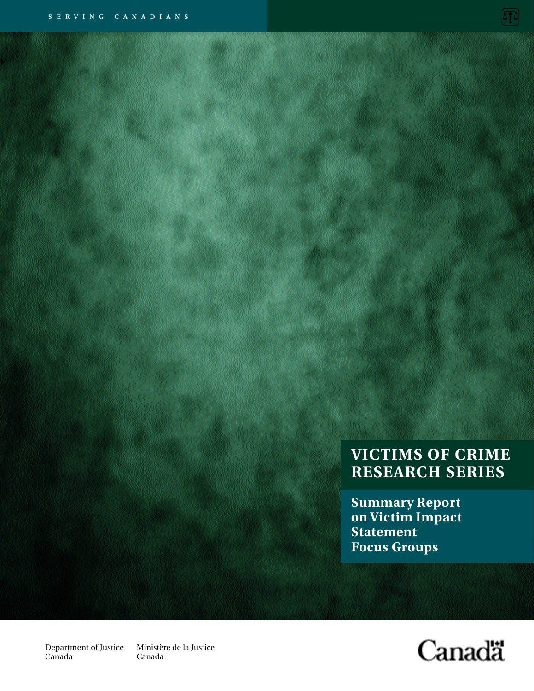# **VICTIMS OF CRIME RESEARCH SERIES**

**Summary Report on Victim Impact Statement Focus Groups**

**Canadä** 

Department of Justice Canada

Ministère de la Justice Canada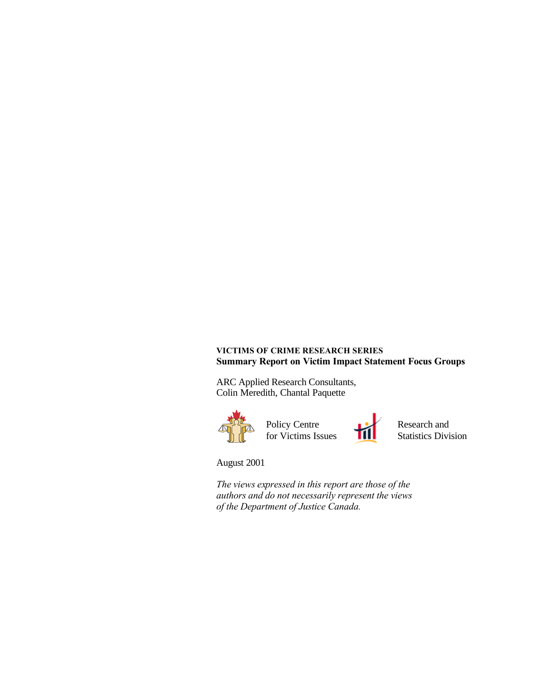#### **VICTIMS OF CRIME RESEARCH SERIES Summary Report on Victim Impact Statement Focus Groups**

ARC Applied Research Consultants, Colin Meredith, Chantal Paquette



August 2001

*The views expressed in this report are those of the authors and do not necessarily represent the views of the Department of Justice Canada.*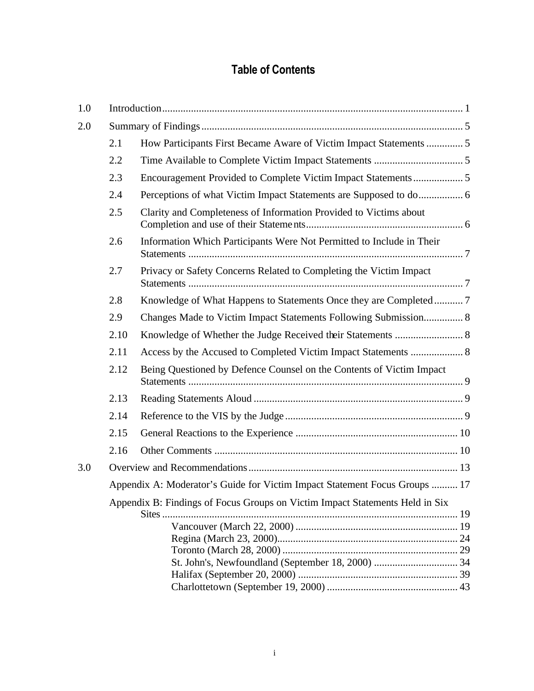# **Table of Contents**

| 1.0 |                                                                              |                                                                       |  |
|-----|------------------------------------------------------------------------------|-----------------------------------------------------------------------|--|
| 2.0 |                                                                              |                                                                       |  |
|     | 2.1                                                                          | How Participants First Became Aware of Victim Impact Statements  5    |  |
|     | 2.2                                                                          |                                                                       |  |
|     | 2.3                                                                          |                                                                       |  |
|     | 2.4                                                                          |                                                                       |  |
|     | 2.5                                                                          | Clarity and Completeness of Information Provided to Victims about     |  |
|     | 2.6                                                                          | Information Which Participants Were Not Permitted to Include in Their |  |
|     | 2.7                                                                          | Privacy or Safety Concerns Related to Completing the Victim Impact    |  |
|     | 2.8                                                                          |                                                                       |  |
|     | 2.9                                                                          | Changes Made to Victim Impact Statements Following Submission 8       |  |
|     | 2.10                                                                         |                                                                       |  |
|     | 2.11                                                                         | Access by the Accused to Completed Victim Impact Statements  8        |  |
|     | 2.12                                                                         | Being Questioned by Defence Counsel on the Contents of Victim Impact  |  |
|     | 2.13                                                                         |                                                                       |  |
|     | 2.14                                                                         |                                                                       |  |
|     | 2.15                                                                         |                                                                       |  |
|     | 2.16                                                                         |                                                                       |  |
| 3.0 |                                                                              |                                                                       |  |
|     | Appendix A: Moderator's Guide for Victim Impact Statement Focus Groups  17   |                                                                       |  |
|     | Appendix B: Findings of Focus Groups on Victim Impact Statements Held in Six |                                                                       |  |
|     |                                                                              |                                                                       |  |
|     |                                                                              |                                                                       |  |
|     |                                                                              |                                                                       |  |
|     |                                                                              |                                                                       |  |
|     |                                                                              |                                                                       |  |
|     |                                                                              |                                                                       |  |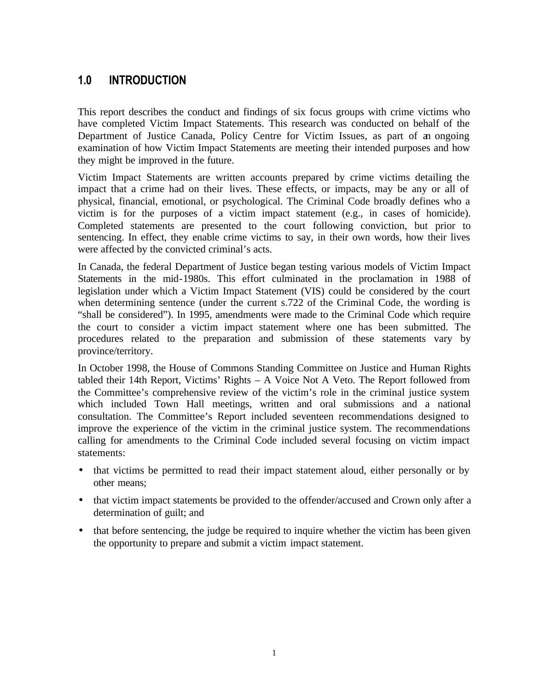# **1.0 INTRODUCTION**

This report describes the conduct and findings of six focus groups with crime victims who have completed Victim Impact Statements. This research was conducted on behalf of the Department of Justice Canada, Policy Centre for Victim Issues, as part of an ongoing examination of how Victim Impact Statements are meeting their intended purposes and how they might be improved in the future.

Victim Impact Statements are written accounts prepared by crime victims detailing the impact that a crime had on their lives. These effects, or impacts, may be any or all of physical, financial, emotional, or psychological. The Criminal Code broadly defines who a victim is for the purposes of a victim impact statement (e.g., in cases of homicide). Completed statements are presented to the court following conviction, but prior to sentencing. In effect, they enable crime victims to say, in their own words, how their lives were affected by the convicted criminal's acts.

In Canada, the federal Department of Justice began testing various models of Victim Impact Statements in the mid-1980s. This effort culminated in the proclamation in 1988 of legislation under which a Victim Impact Statement (VIS) could be considered by the court when determining sentence (under the current s.722 of the Criminal Code, the wording is "shall be considered"). In 1995, amendments were made to the Criminal Code which require the court to consider a victim impact statement where one has been submitted. The procedures related to the preparation and submission of these statements vary by province/territory.

In October 1998, the House of Commons Standing Committee on Justice and Human Rights tabled their 14th Report, Victims' Rights – A Voice Not A Veto. The Report followed from the Committee's comprehensive review of the victim's role in the criminal justice system which included Town Hall meetings, written and oral submissions and a national consultation. The Committee's Report included seventeen recommendations designed to improve the experience of the victim in the criminal justice system. The recommendations calling for amendments to the Criminal Code included several focusing on victim impact statements:

- that victims be permitted to read their impact statement aloud, either personally or by other means;
- that victim impact statements be provided to the offender/accused and Crown only after a determination of guilt; and
- that before sentencing, the judge be required to inquire whether the victim has been given the opportunity to prepare and submit a victim impact statement.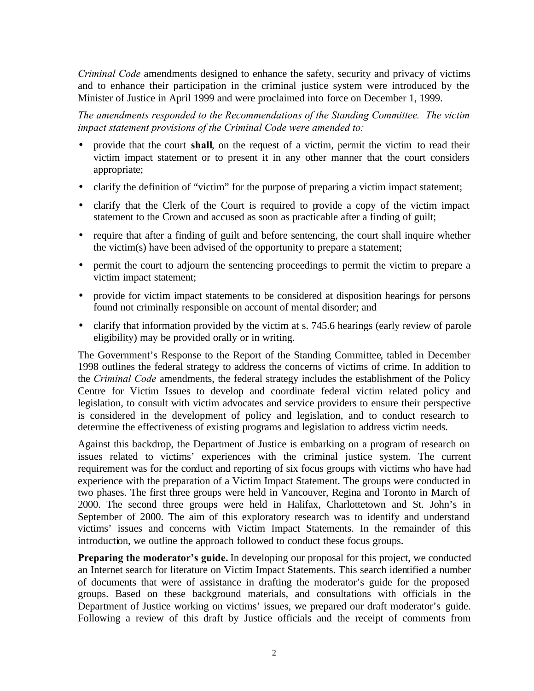*Criminal Code* amendments designed to enhance the safety, security and privacy of victims and to enhance their participation in the criminal justice system were introduced by the Minister of Justice in April 1999 and were proclaimed into force on December 1, 1999.

*The amendments responded to the Recommendations of the Standing Committee. The victim impact statement provisions of the Criminal Code were amended to:*

- provide that the court **shall**, on the request of a victim, permit the victim to read their victim impact statement or to present it in any other manner that the court considers appropriate;
- clarify the definition of "victim" for the purpose of preparing a victim impact statement;
- clarify that the Clerk of the Court is required to provide a copy of the victim impact statement to the Crown and accused as soon as practicable after a finding of guilt;
- require that after a finding of guilt and before sentencing, the court shall inquire whether the victim(s) have been advised of the opportunity to prepare a statement;
- permit the court to adjourn the sentencing proceedings to permit the victim to prepare a victim impact statement;
- provide for victim impact statements to be considered at disposition hearings for persons found not criminally responsible on account of mental disorder; and
- clarify that information provided by the victim at s. 745.6 hearings (early review of parole eligibility) may be provided orally or in writing.

The Government's Response to the Report of the Standing Committee, tabled in December 1998 outlines the federal strategy to address the concerns of victims of crime. In addition to the *Criminal Code* amendments, the federal strategy includes the establishment of the Policy Centre for Victim Issues to develop and coordinate federal victim related policy and legislation, to consult with victim advocates and service providers to ensure their perspective is considered in the development of policy and legislation, and to conduct research to determine the effectiveness of existing programs and legislation to address victim needs.

Against this backdrop, the Department of Justice is embarking on a program of research on issues related to victims' experiences with the criminal justice system. The current requirement was for the conduct and reporting of six focus groups with victims who have had experience with the preparation of a Victim Impact Statement. The groups were conducted in two phases. The first three groups were held in Vancouver, Regina and Toronto in March of 2000. The second three groups were held in Halifax, Charlottetown and St. John's in September of 2000. The aim of this exploratory research was to identify and understand victims' issues and concerns with Victim Impact Statements. In the remainder of this introduction, we outline the approach followed to conduct these focus groups.

**Preparing the moderator's guide.** In developing our proposal for this project, we conducted an Internet search for literature on Victim Impact Statements. This search identified a number of documents that were of assistance in drafting the moderator's guide for the proposed groups. Based on these background materials, and consultations with officials in the Department of Justice working on victims' issues, we prepared our draft moderator's guide. Following a review of this draft by Justice officials and the receipt of comments from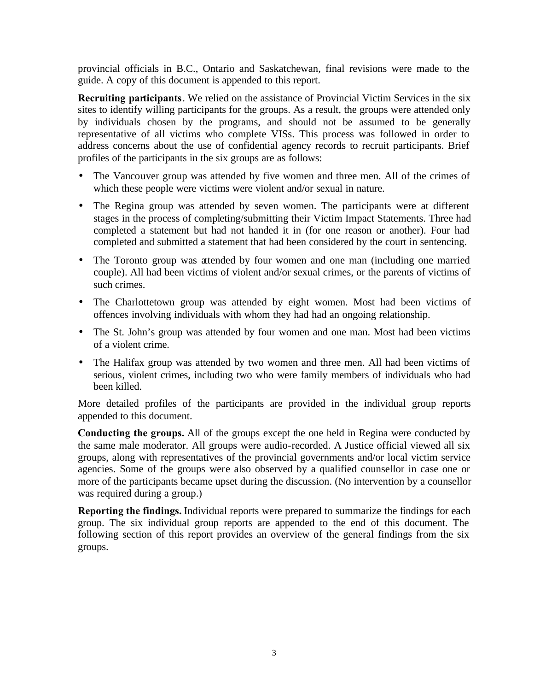provincial officials in B.C., Ontario and Saskatchewan, final revisions were made to the guide. A copy of this document is appended to this report.

**Recruiting participants**. We relied on the assistance of Provincial Victim Services in the six sites to identify willing participants for the groups. As a result, the groups were attended only by individuals chosen by the programs, and should not be assumed to be generally representative of all victims who complete VISs. This process was followed in order to address concerns about the use of confidential agency records to recruit participants. Brief profiles of the participants in the six groups are as follows:

- The Vancouver group was attended by five women and three men. All of the crimes of which these people were victims were violent and/or sexual in nature.
- The Regina group was attended by seven women. The participants were at different stages in the process of completing/submitting their Victim Impact Statements. Three had completed a statement but had not handed it in (for one reason or another). Four had completed and submitted a statement that had been considered by the court in sentencing.
- The Toronto group was attended by four women and one man (including one married couple). All had been victims of violent and/or sexual crimes, or the parents of victims of such crimes.
- The Charlottetown group was attended by eight women. Most had been victims of offences involving individuals with whom they had had an ongoing relationship.
- The St. John's group was attended by four women and one man. Most had been victims of a violent crime.
- The Halifax group was attended by two women and three men. All had been victims of serious, violent crimes, including two who were family members of individuals who had been killed.

More detailed profiles of the participants are provided in the individual group reports appended to this document.

**Conducting the groups.** All of the groups except the one held in Regina were conducted by the same male moderator. All groups were audio-recorded. A Justice official viewed all six groups, along with representatives of the provincial governments and/or local victim service agencies. Some of the groups were also observed by a qualified counsellor in case one or more of the participants became upset during the discussion. (No intervention by a counsellor was required during a group.)

**Reporting the findings.** Individual reports were prepared to summarize the findings for each group. The six individual group reports are appended to the end of this document. The following section of this report provides an overview of the general findings from the six groups.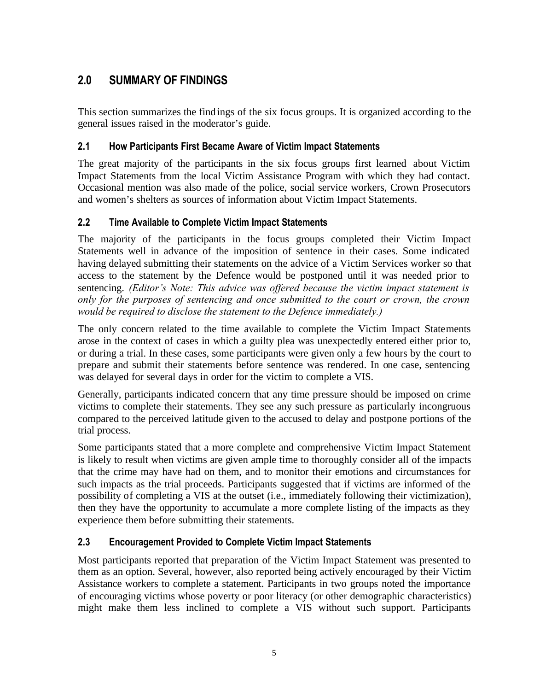# **2.0 SUMMARY OF FINDINGS**

This section summarizes the findings of the six focus groups. It is organized according to the general issues raised in the moderator's guide.

# **2.1 How Participants First Became Aware of Victim Impact Statements**

The great majority of the participants in the six focus groups first learned about Victim Impact Statements from the local Victim Assistance Program with which they had contact. Occasional mention was also made of the police, social service workers, Crown Prosecutors and women's shelters as sources of information about Victim Impact Statements.

# **2.2 Time Available to Complete Victim Impact Statements**

The majority of the participants in the focus groups completed their Victim Impact Statements well in advance of the imposition of sentence in their cases. Some indicated having delayed submitting their statements on the advice of a Victim Services worker so that access to the statement by the Defence would be postponed until it was needed prior to sentencing. *(Editor's Note: This advice was offered because the victim impact statement is only for the purposes of sentencing and once submitted to the court or crown, the crown would be required to disclose the statement to the Defence immediately.)*

The only concern related to the time available to complete the Victim Impact Statements arose in the context of cases in which a guilty plea was unexpectedly entered either prior to, or during a trial. In these cases, some participants were given only a few hours by the court to prepare and submit their statements before sentence was rendered. In one case, sentencing was delayed for several days in order for the victim to complete a VIS.

Generally, participants indicated concern that any time pressure should be imposed on crime victims to complete their statements. They see any such pressure as particularly incongruous compared to the perceived latitude given to the accused to delay and postpone portions of the trial process.

Some participants stated that a more complete and comprehensive Victim Impact Statement is likely to result when victims are given ample time to thoroughly consider all of the impacts that the crime may have had on them, and to monitor their emotions and circumstances for such impacts as the trial proceeds. Participants suggested that if victims are informed of the possibility of completing a VIS at the outset (i.e., immediately following their victimization), then they have the opportunity to accumulate a more complete listing of the impacts as they experience them before submitting their statements.

# **2.3 Encouragement Provided to Complete Victim Impact Statements**

Most participants reported that preparation of the Victim Impact Statement was presented to them as an option. Several, however, also reported being actively encouraged by their Victim Assistance workers to complete a statement. Participants in two groups noted the importance of encouraging victims whose poverty or poor literacy (or other demographic characteristics) might make them less inclined to complete a VIS without such support. Participants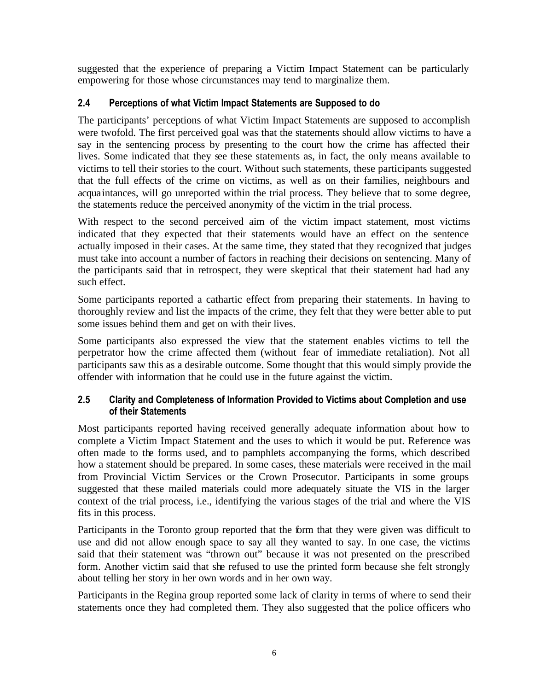suggested that the experience of preparing a Victim Impact Statement can be particularly empowering for those whose circumstances may tend to marginalize them.

# **2.4 Perceptions of what Victim Impact Statements are Supposed to do**

The participants' perceptions of what Victim Impact Statements are supposed to accomplish were twofold. The first perceived goal was that the statements should allow victims to have a say in the sentencing process by presenting to the court how the crime has affected their lives. Some indicated that they see these statements as, in fact, the only means available to victims to tell their stories to the court. Without such statements, these participants suggested that the full effects of the crime on victims, as well as on their families, neighbours and acquaintances, will go unreported within the trial process. They believe that to some degree, the statements reduce the perceived anonymity of the victim in the trial process.

With respect to the second perceived aim of the victim impact statement, most victims indicated that they expected that their statements would have an effect on the sentence actually imposed in their cases. At the same time, they stated that they recognized that judges must take into account a number of factors in reaching their decisions on sentencing. Many of the participants said that in retrospect, they were skeptical that their statement had had any such effect.

Some participants reported a cathartic effect from preparing their statements. In having to thoroughly review and list the impacts of the crime, they felt that they were better able to put some issues behind them and get on with their lives.

Some participants also expressed the view that the statement enables victims to tell the perpetrator how the crime affected them (without fear of immediate retaliation). Not all participants saw this as a desirable outcome. Some thought that this would simply provide the offender with information that he could use in the future against the victim.

# **2.5 Clarity and Completeness of Information Provided to Victims about Completion and use of their Statements**

Most participants reported having received generally adequate information about how to complete a Victim Impact Statement and the uses to which it would be put. Reference was often made to the forms used, and to pamphlets accompanying the forms, which described how a statement should be prepared. In some cases, these materials were received in the mail from Provincial Victim Services or the Crown Prosecutor. Participants in some groups suggested that these mailed materials could more adequately situate the VIS in the larger context of the trial process, i.e., identifying the various stages of the trial and where the VIS fits in this process.

Participants in the Toronto group reported that the form that they were given was difficult to use and did not allow enough space to say all they wanted to say. In one case, the victims said that their statement was "thrown out" because it was not presented on the prescribed form. Another victim said that she refused to use the printed form because she felt strongly about telling her story in her own words and in her own way.

Participants in the Regina group reported some lack of clarity in terms of where to send their statements once they had completed them. They also suggested that the police officers who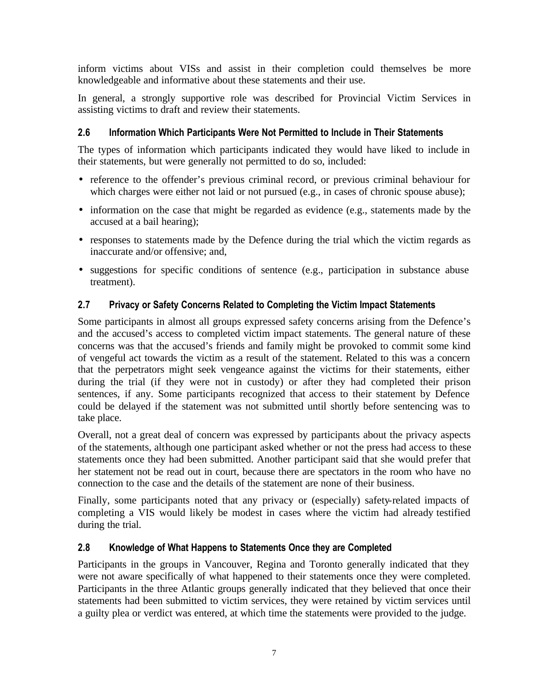inform victims about VISs and assist in their completion could themselves be more knowledgeable and informative about these statements and their use.

In general, a strongly supportive role was described for Provincial Victim Services in assisting victims to draft and review their statements.

# **2.6 Information Which Participants Were Not Permitted to Include in Their Statements**

The types of information which participants indicated they would have liked to include in their statements, but were generally not permitted to do so, included:

- reference to the offender's previous criminal record, or previous criminal behaviour for which charges were either not laid or not pursued (e.g., in cases of chronic spouse abuse);
- information on the case that might be regarded as evidence (e.g., statements made by the accused at a bail hearing);
- responses to statements made by the Defence during the trial which the victim regards as inaccurate and/or offensive; and,
- suggestions for specific conditions of sentence (e.g., participation in substance abuse treatment).

# **2.7 Privacy or Safety Concerns Related to Completing the Victim Impact Statements**

Some participants in almost all groups expressed safety concerns arising from the Defence's and the accused's access to completed victim impact statements. The general nature of these concerns was that the accused's friends and family might be provoked to commit some kind of vengeful act towards the victim as a result of the statement. Related to this was a concern that the perpetrators might seek vengeance against the victims for their statements, either during the trial (if they were not in custody) or after they had completed their prison sentences, if any. Some participants recognized that access to their statement by Defence could be delayed if the statement was not submitted until shortly before sentencing was to take place.

Overall, not a great deal of concern was expressed by participants about the privacy aspects of the statements, although one participant asked whether or not the press had access to these statements once they had been submitted. Another participant said that she would prefer that her statement not be read out in court, because there are spectators in the room who have no connection to the case and the details of the statement are none of their business.

Finally, some participants noted that any privacy or (especially) safety-related impacts of completing a VIS would likely be modest in cases where the victim had already testified during the trial.

# **2.8 Knowledge of What Happens to Statements Once they are Completed**

Participants in the groups in Vancouver, Regina and Toronto generally indicated that they were not aware specifically of what happened to their statements once they were completed. Participants in the three Atlantic groups generally indicated that they believed that once their statements had been submitted to victim services, they were retained by victim services until a guilty plea or verdict was entered, at which time the statements were provided to the judge.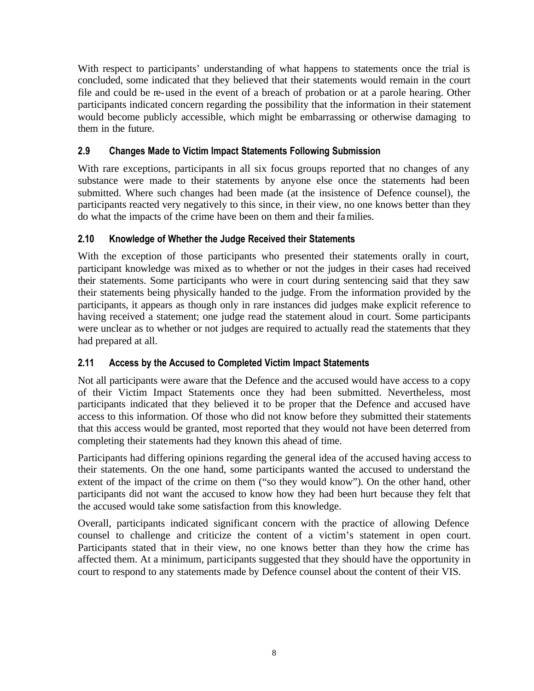With respect to participants' understanding of what happens to statements once the trial is concluded, some indicated that they believed that their statements would remain in the court file and could be re-used in the event of a breach of probation or at a parole hearing. Other participants indicated concern regarding the possibility that the information in their statement would become publicly accessible, which might be embarrassing or otherwise damaging to them in the future.

# **2.9 Changes Made to Victim Impact Statements Following Submission**

With rare exceptions, participants in all six focus groups reported that no changes of any substance were made to their statements by anyone else once the statements had been submitted. Where such changes had been made (at the insistence of Defence counsel), the participants reacted very negatively to this since, in their view, no one knows better than they do what the impacts of the crime have been on them and their families.

# **2.10 Knowledge of Whether the Judge Received their Statements**

With the exception of those participants who presented their statements orally in court, participant knowledge was mixed as to whether or not the judges in their cases had received their statements. Some participants who were in court during sentencing said that they saw their statements being physically handed to the judge. From the information provided by the participants, it appears as though only in rare instances did judges make explicit reference to having received a statement; one judge read the statement aloud in court. Some participants were unclear as to whether or not judges are required to actually read the statements that they had prepared at all.

# **2.11 Access by the Accused to Completed Victim Impact Statements**

Not all participants were aware that the Defence and the accused would have access to a copy of their Victim Impact Statements once they had been submitted. Nevertheless, most participants indicated that they believed it to be proper that the Defence and accused have access to this information. Of those who did not know before they submitted their statements that this access would be granted, most reported that they would not have been deterred from completing their statements had they known this ahead of time.

Participants had differing opinions regarding the general idea of the accused having access to their statements. On the one hand, some participants wanted the accused to understand the extent of the impact of the crime on them ("so they would know"). On the other hand, other participants did not want the accused to know how they had been hurt because they felt that the accused would take some satisfaction from this knowledge.

Overall, participants indicated significant concern with the practice of allowing Defence counsel to challenge and criticize the content of a victim's statement in open court. Participants stated that in their view, no one knows better than they how the crime has affected them. At a minimum, participants suggested that they should have the opportunity in court to respond to any statements made by Defence counsel about the content of their VIS.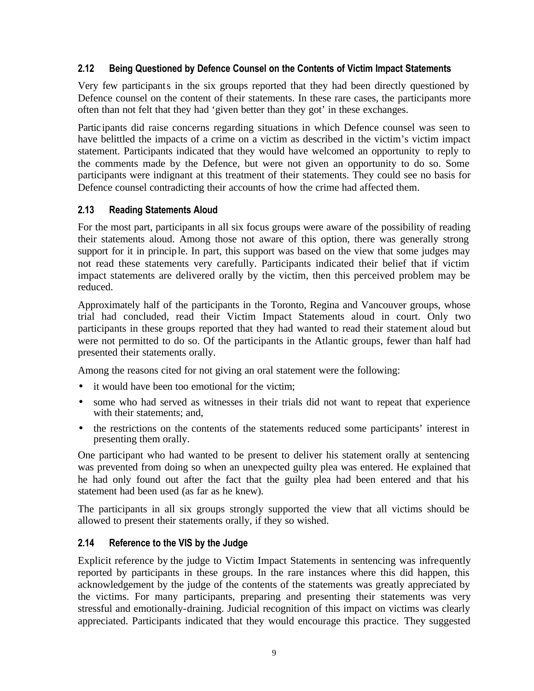## **2.12 Being Questioned by Defence Counsel on the Contents of Victim Impact Statements**

Very few participants in the six groups reported that they had been directly questioned by Defence counsel on the content of their statements. In these rare cases, the participants more often than not felt that they had 'given better than they got' in these exchanges.

Participants did raise concerns regarding situations in which Defence counsel was seen to have belittled the impacts of a crime on a victim as described in the victim's victim impact statement. Participants indicated that they would have welcomed an opportunity to reply to the comments made by the Defence, but were not given an opportunity to do so. Some participants were indignant at this treatment of their statements. They could see no basis for Defence counsel contradicting their accounts of how the crime had affected them.

# **2.13 Reading Statements Aloud**

For the most part, participants in all six focus groups were aware of the possibility of reading their statements aloud. Among those not aware of this option, there was generally strong support for it in principle. In part, this support was based on the view that some judges may not read these statements very carefully. Participants indicated their belief that if victim impact statements are delivered orally by the victim, then this perceived problem may be reduced.

Approximately half of the participants in the Toronto, Regina and Vancouver groups, whose trial had concluded, read their Victim Impact Statements aloud in court. Only two participants in these groups reported that they had wanted to read their statement aloud but were not permitted to do so. Of the participants in the Atlantic groups, fewer than half had presented their statements orally.

Among the reasons cited for not giving an oral statement were the following:

- it would have been too emotional for the victim:
- some who had served as witnesses in their trials did not want to repeat that experience with their statements; and,
- the restrictions on the contents of the statements reduced some participants' interest in presenting them orally.

One participant who had wanted to be present to deliver his statement orally at sentencing was prevented from doing so when an unexpected guilty plea was entered. He explained that he had only found out after the fact that the guilty plea had been entered and that his statement had been used (as far as he knew).

The participants in all six groups strongly supported the view that all victims should be allowed to present their statements orally, if they so wished.

# **2.14 Reference to the VIS by the Judge**

Explicit reference by the judge to Victim Impact Statements in sentencing was infrequently reported by participants in these groups. In the rare instances where this did happen, this acknowledgement by the judge of the contents of the statements was greatly appreciated by the victims. For many participants, preparing and presenting their statements was very stressful and emotionally-draining. Judicial recognition of this impact on victims was clearly appreciated. Participants indicated that they would encourage this practice. They suggested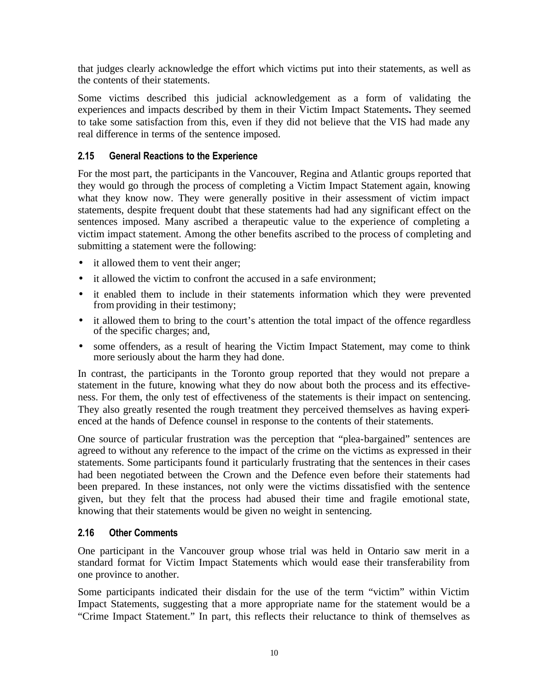that judges clearly acknowledge the effort which victims put into their statements, as well as the contents of their statements.

Some victims described this judicial acknowledgement as a form of validating the experiences and impacts described by them in their Victim Impact Statements**.** They seemed to take some satisfaction from this, even if they did not believe that the VIS had made any real difference in terms of the sentence imposed.

# **2.15 General Reactions to the Experience**

For the most part, the participants in the Vancouver, Regina and Atlantic groups reported that they would go through the process of completing a Victim Impact Statement again, knowing what they know now. They were generally positive in their assessment of victim impact statements, despite frequent doubt that these statements had had any significant effect on the sentences imposed. Many ascribed a therapeutic value to the experience of completing a victim impact statement. Among the other benefits ascribed to the process of completing and submitting a statement were the following:

- it allowed them to vent their anger;
- it allowed the victim to confront the accused in a safe environment:
- it enabled them to include in their statements information which they were prevented from providing in their testimony;
- it allowed them to bring to the court's attention the total impact of the offence regardless of the specific charges; and,
- some offenders, as a result of hearing the Victim Impact Statement, may come to think more seriously about the harm they had done.

In contrast, the participants in the Toronto group reported that they would not prepare a statement in the future, knowing what they do now about both the process and its effectiveness. For them, the only test of effectiveness of the statements is their impact on sentencing. They also greatly resented the rough treatment they perceived themselves as having experienced at the hands of Defence counsel in response to the contents of their statements.

One source of particular frustration was the perception that "plea-bargained" sentences are agreed to without any reference to the impact of the crime on the victims as expressed in their statements. Some participants found it particularly frustrating that the sentences in their cases had been negotiated between the Crown and the Defence even before their statements had been prepared. In these instances, not only were the victims dissatisfied with the sentence given, but they felt that the process had abused their time and fragile emotional state, knowing that their statements would be given no weight in sentencing.

### **2.16 Other Comments**

One participant in the Vancouver group whose trial was held in Ontario saw merit in a standard format for Victim Impact Statements which would ease their transferability from one province to another.

Some participants indicated their disdain for the use of the term "victim" within Victim Impact Statements, suggesting that a more appropriate name for the statement would be a "Crime Impact Statement." In part, this reflects their reluctance to think of themselves as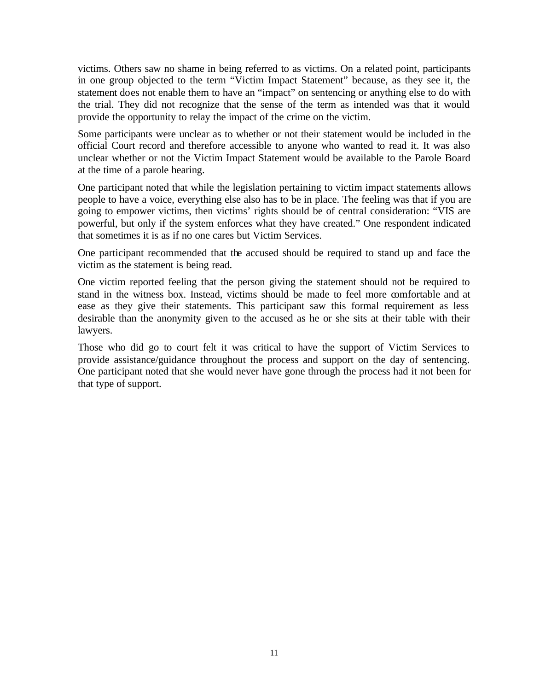victims. Others saw no shame in being referred to as victims. On a related point, participants in one group objected to the term "Victim Impact Statement" because, as they see it, the statement does not enable them to have an "impact" on sentencing or anything else to do with the trial. They did not recognize that the sense of the term as intended was that it would provide the opportunity to relay the impact of the crime on the victim.

Some participants were unclear as to whether or not their statement would be included in the official Court record and therefore accessible to anyone who wanted to read it. It was also unclear whether or not the Victim Impact Statement would be available to the Parole Board at the time of a parole hearing.

One participant noted that while the legislation pertaining to victim impact statements allows people to have a voice, everything else also has to be in place. The feeling was that if you are going to empower victims, then victims' rights should be of central consideration: "VIS are powerful, but only if the system enforces what they have created." One respondent indicated that sometimes it is as if no one cares but Victim Services.

One participant recommended that the accused should be required to stand up and face the victim as the statement is being read.

One victim reported feeling that the person giving the statement should not be required to stand in the witness box. Instead, victims should be made to feel more comfortable and at ease as they give their statements. This participant saw this formal requirement as less desirable than the anonymity given to the accused as he or she sits at their table with their lawyers.

Those who did go to court felt it was critical to have the support of Victim Services to provide assistance/guidance throughout the process and support on the day of sentencing. One participant noted that she would never have gone through the process had it not been for that type of support.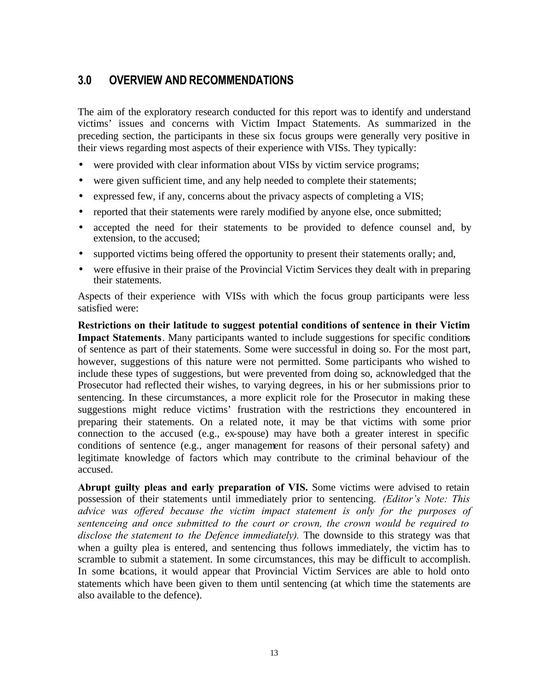# **3.0 OVERVIEW AND RECOMMENDATIONS**

The aim of the exploratory research conducted for this report was to identify and understand victims' issues and concerns with Victim Impact Statements. As summarized in the preceding section, the participants in these six focus groups were generally very positive in their views regarding most aspects of their experience with VISs. They typically:

- were provided with clear information about VISs by victim service programs;
- were given sufficient time, and any help needed to complete their statements;
- expressed few, if any, concerns about the privacy aspects of completing a VIS;
- reported that their statements were rarely modified by anyone else, once submitted;
- accepted the need for their statements to be provided to defence counsel and, by extension, to the accused;
- supported victims being offered the opportunity to present their statements orally; and,
- were effusive in their praise of the Provincial Victim Services they dealt with in preparing their statements.

Aspects of their experience with VISs with which the focus group participants were less satisfied were:

**Restrictions on their latitude to suggest potential conditions of sentence in their Victim Impact Statements**. Many participants wanted to include suggestions for specific conditions of sentence as part of their statements. Some were successful in doing so. For the most part, however, suggestions of this nature were not permitted. Some participants who wished to include these types of suggestions, but were prevented from doing so, acknowledged that the Prosecutor had reflected their wishes, to varying degrees, in his or her submissions prior to sentencing. In these circumstances, a more explicit role for the Prosecutor in making these suggestions might reduce victims' frustration with the restrictions they encountered in preparing their statements. On a related note, it may be that victims with some prior connection to the accused (e.g., ex-spouse) may have both a greater interest in specific conditions of sentence (e.g., anger management for reasons of their personal safety) and legitimate knowledge of factors which may contribute to the criminal behaviour of the accused.

**Abrupt guilty pleas and early preparation of VIS.** Some victims were advised to retain possession of their statements until immediately prior to sentencing. *(Editor's Note: This advice was offered because the victim impact statement is only for the purposes of sentenceing and once submitted to the court or crown, the crown would be required to disclose the statement to the Defence immediately).* The downside to this strategy was that when a guilty plea is entered, and sentencing thus follows immediately, the victim has to scramble to submit a statement. In some circumstances, this may be difficult to accomplish. In some beations, it would appear that Provincial Victim Services are able to hold onto statements which have been given to them until sentencing (at which time the statements are also available to the defence).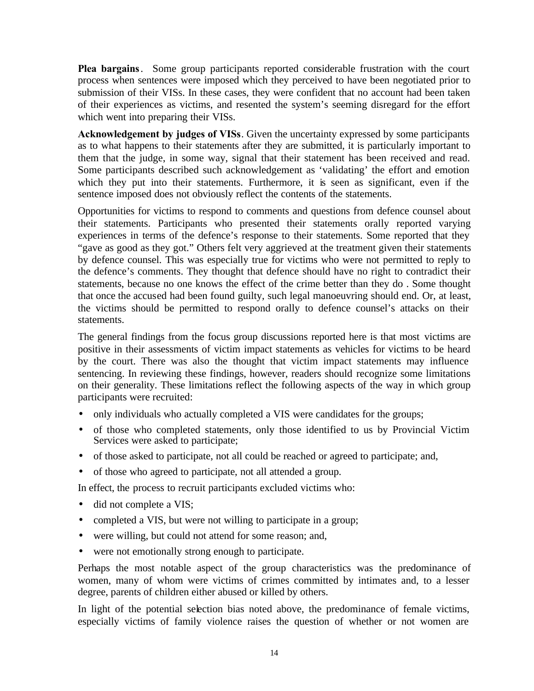**Plea bargains**. Some group participants reported considerable frustration with the court process when sentences were imposed which they perceived to have been negotiated prior to submission of their VISs. In these cases, they were confident that no account had been taken of their experiences as victims, and resented the system's seeming disregard for the effort which went into preparing their VISs.

**Acknowledgement by judges of VISs**. Given the uncertainty expressed by some participants as to what happens to their statements after they are submitted, it is particularly important to them that the judge, in some way, signal that their statement has been received and read. Some participants described such acknowledgement as 'validating' the effort and emotion which they put into their statements. Furthermore, it is seen as significant, even if the sentence imposed does not obviously reflect the contents of the statements.

Opportunities for victims to respond to comments and questions from defence counsel about their statements. Participants who presented their statements orally reported varying experiences in terms of the defence's response to their statements. Some reported that they "gave as good as they got." Others felt very aggrieved at the treatment given their statements by defence counsel. This was especially true for victims who were not permitted to reply to the defence's comments. They thought that defence should have no right to contradict their statements, because no one knows the effect of the crime better than they do . Some thought that once the accused had been found guilty, such legal manoeuvring should end. Or, at least, the victims should be permitted to respond orally to defence counsel's attacks on their statements.

The general findings from the focus group discussions reported here is that most victims are positive in their assessments of victim impact statements as vehicles for victims to be heard by the court. There was also the thought that victim impact statements may influence sentencing. In reviewing these findings, however, readers should recognize some limitations on their generality. These limitations reflect the following aspects of the way in which group participants were recruited:

- only individuals who actually completed a VIS were candidates for the groups;
- of those who completed statements, only those identified to us by Provincial Victim Services were asked to participate;
- of those asked to participate, not all could be reached or agreed to participate; and,
- of those who agreed to participate, not all attended a group.

In effect, the process to recruit participants excluded victims who:

- did not complete a VIS;
- completed a VIS, but were not willing to participate in a group;
- were willing, but could not attend for some reason; and,
- were not emotionally strong enough to participate.

Perhaps the most notable aspect of the group characteristics was the predominance of women, many of whom were victims of crimes committed by intimates and, to a lesser degree, parents of children either abused or killed by others.

In light of the potential selection bias noted above, the predominance of female victims, especially victims of family violence raises the question of whether or not women are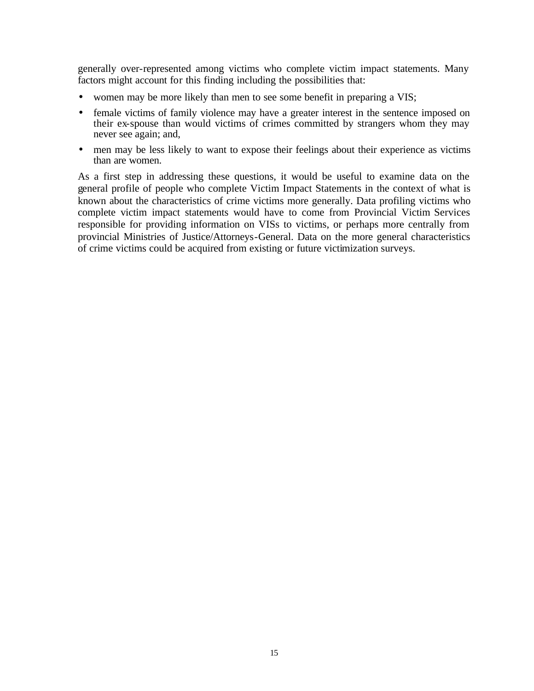generally over-represented among victims who complete victim impact statements. Many factors might account for this finding including the possibilities that:

- women may be more likely than men to see some benefit in preparing a VIS;
- female victims of family violence may have a greater interest in the sentence imposed on their ex-spouse than would victims of crimes committed by strangers whom they may never see again; and,
- men may be less likely to want to expose their feelings about their experience as victims than are women.

As a first step in addressing these questions, it would be useful to examine data on the general profile of people who complete Victim Impact Statements in the context of what is known about the characteristics of crime victims more generally. Data profiling victims who complete victim impact statements would have to come from Provincial Victim Services responsible for providing information on VISs to victims, or perhaps more centrally from provincial Ministries of Justice/Attorneys-General. Data on the more general characteristics of crime victims could be acquired from existing or future victimization surveys.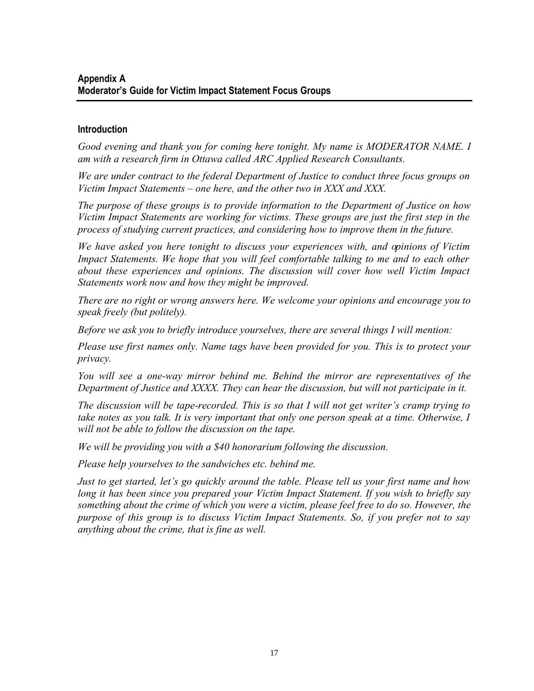### **Introduction**

*Good evening and thank you for coming here tonight. My name is MODERATOR NAME. I am with a research firm in Ottawa called ARC Applied Research Consultants.* 

*We are under contract to the federal Department of Justice to conduct three focus groups on Victim Impact Statements – one here, and the other two in XXX and XXX.*

*The purpose of these groups is to provide information to the Department of Justice on how Victim Impact Statements are working for victims. These groups are just the first step in the process of studying current practices, and considering how to improve them in the future.*

*We have asked you here tonight to discuss your experiences with, and opinions of Victim Impact Statements. We hope that you will feel comfortable talking to me and to each other about these experiences and opinions. The discussion will cover how well Victim Impact Statements work now and how they might be improved.*

*There are no right or wrong answers here. We welcome your opinions and encourage you to speak freely (but politely).*

*Before we ask you to briefly introduce yourselves, there are several things I will mention:*

*Please use first names only. Name tags have been provided for you. This is to protect your privacy.* 

*You will see a one-way mirror behind me. Behind the mirror are representatives of the Department of Justice and XXXX. They can hear the discussion, but will not participate in it.*

*The discussion will be tape-recorded. This is so that I will not get writer's cramp trying to take notes as you talk. It is very important that only one person speak at a time. Otherwise, I will not be able to follow the discussion on the tape.* 

*We will be providing you with a \$40 honorarium following the discussion.* 

*Please help yourselves to the sandwiches etc. behind me.*

*Just to get started, let's go quickly around the table. Please tell us your first name and how long it has been since you prepared your Victim Impact Statement. If you wish to briefly say something about the crime of which you were a victim, please feel free to do so. However, the purpose of this group is to discuss Victim Impact Statements. So, if you prefer not to say anything about the crime, that is fine as well.*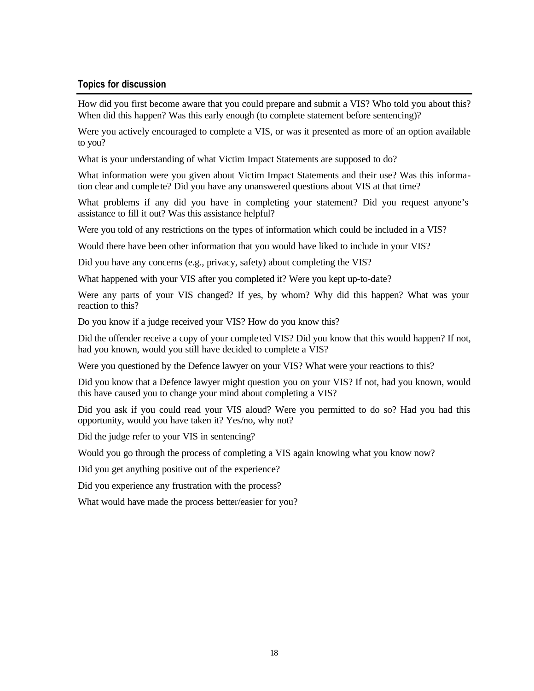### **Topics for discussion**

How did you first become aware that you could prepare and submit a VIS? Who told you about this? When did this happen? Was this early enough (to complete statement before sentencing)?

Were you actively encouraged to complete a VIS, or was it presented as more of an option available to you?

What is your understanding of what Victim Impact Statements are supposed to do?

What information were you given about Victim Impact Statements and their use? Was this information clear and complete? Did you have any unanswered questions about VIS at that time?

What problems if any did you have in completing your statement? Did you request anyone's assistance to fill it out? Was this assistance helpful?

Were you told of any restrictions on the types of information which could be included in a VIS?

Would there have been other information that you would have liked to include in your VIS?

Did you have any concerns (e.g., privacy, safety) about completing the VIS?

What happened with your VIS after you completed it? Were you kept up-to-date?

Were any parts of your VIS changed? If yes, by whom? Why did this happen? What was your reaction to this?

Do you know if a judge received your VIS? How do you know this?

Did the offender receive a copy of your completed VIS? Did you know that this would happen? If not, had you known, would you still have decided to complete a VIS?

Were you questioned by the Defence lawyer on your VIS? What were your reactions to this?

Did you know that a Defence lawyer might question you on your VIS? If not, had you known, would this have caused you to change your mind about completing a VIS?

Did you ask if you could read your VIS aloud? Were you permitted to do so? Had you had this opportunity, would you have taken it? Yes/no, why not?

Did the judge refer to your VIS in sentencing?

Would you go through the process of completing a VIS again knowing what you know now?

Did you get anything positive out of the experience?

Did you experience any frustration with the process?

What would have made the process better/easier for you?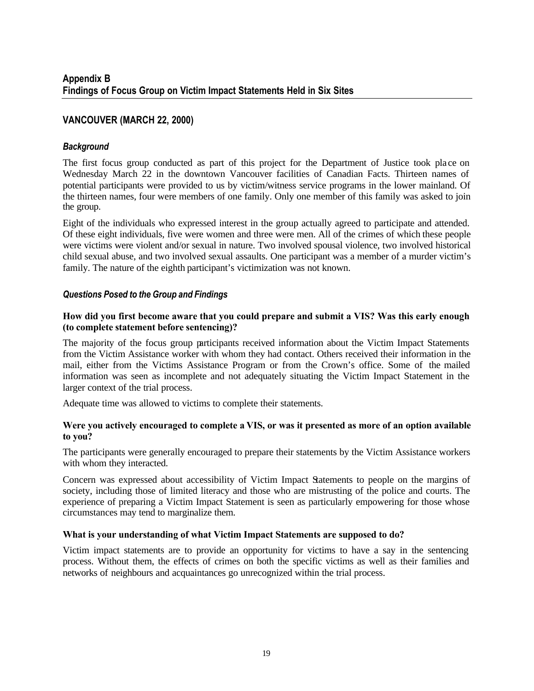# **VANCOUVER (MARCH 22, 2000)**

### *Background*

The first focus group conducted as part of this project for the Department of Justice took pla ce on Wednesday March 22 in the downtown Vancouver facilities of Canadian Facts. Thirteen names of potential participants were provided to us by victim/witness service programs in the lower mainland. Of the thirteen names, four were members of one family. Only one member of this family was asked to join the group.

Eight of the individuals who expressed interest in the group actually agreed to participate and attended. Of these eight individuals, five were women and three were men. All of the crimes of which these people were victims were violent and/or sexual in nature. Two involved spousal violence, two involved historical child sexual abuse, and two involved sexual assaults. One participant was a member of a murder victim's family. The nature of the eighth participant's victimization was not known.

### *Questions Posed to the Group and Findings*

#### **How did you first become aware that you could prepare and submit a VIS? Was this early enough (to complete statement before sentencing)?**

The majority of the focus group participants received information about the Victim Impact Statements from the Victim Assistance worker with whom they had contact. Others received their information in the mail, either from the Victims Assistance Program or from the Crown's office. Some of the mailed information was seen as incomplete and not adequately situating the Victim Impact Statement in the larger context of the trial process.

Adequate time was allowed to victims to complete their statements.

#### **Were you actively encouraged to complete a VIS, or was it presented as more of an option available to you?**

The participants were generally encouraged to prepare their statements by the Victim Assistance workers with whom they interacted.

Concern was expressed about accessibility of Victim Impact Statements to people on the margins of society, including those of limited literacy and those who are mistrusting of the police and courts. The experience of preparing a Victim Impact Statement is seen as particularly empowering for those whose circumstances may tend to marginalize them.

### **What is your understanding of what Victim Impact Statements are supposed to do?**

Victim impact statements are to provide an opportunity for victims to have a say in the sentencing process. Without them, the effects of crimes on both the specific victims as well as their families and networks of neighbours and acquaintances go unrecognized within the trial process.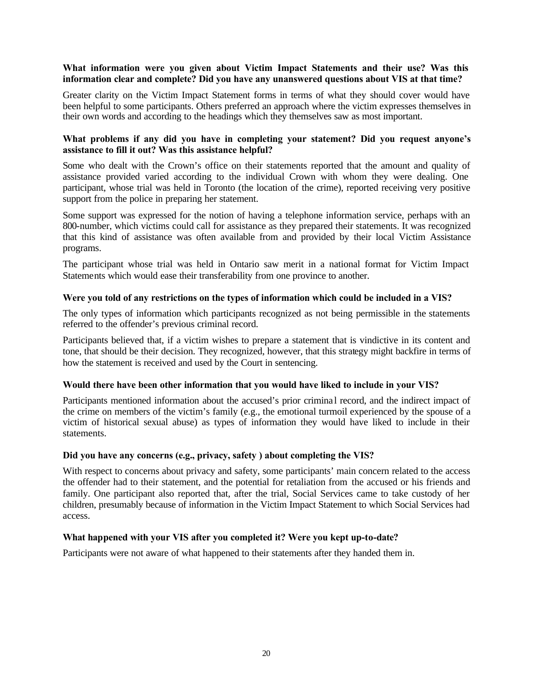#### **What information were you given about Victim Impact Statements and their use? Was this information clear and complete? Did you have any unanswered questions about VIS at that time?**

Greater clarity on the Victim Impact Statement forms in terms of what they should cover would have been helpful to some participants. Others preferred an approach where the victim expresses themselves in their own words and according to the headings which they themselves saw as most important.

#### **What problems if any did you have in completing your statement? Did you request anyone's assistance to fill it out? Was this assistance helpful?**

Some who dealt with the Crown's office on their statements reported that the amount and quality of assistance provided varied according to the individual Crown with whom they were dealing. One participant, whose trial was held in Toronto (the location of the crime), reported receiving very positive support from the police in preparing her statement.

Some support was expressed for the notion of having a telephone information service, perhaps with an 800-number, which victims could call for assistance as they prepared their statements. It was recognized that this kind of assistance was often available from and provided by their local Victim Assistance programs.

The participant whose trial was held in Ontario saw merit in a national format for Victim Impact Statements which would ease their transferability from one province to another.

#### **Were you told of any restrictions on the types of information which could be included in a VIS?**

The only types of information which participants recognized as not being permissible in the statements referred to the offender's previous criminal record.

Participants believed that, if a victim wishes to prepare a statement that is vindictive in its content and tone, that should be their decision. They recognized, however, that this strategy might backfire in terms of how the statement is received and used by the Court in sentencing.

#### **Would there have been other information that you would have liked to include in your VIS?**

Participants mentioned information about the accused's prior criminal record, and the indirect impact of the crime on members of the victim's family (e.g., the emotional turmoil experienced by the spouse of a victim of historical sexual abuse) as types of information they would have liked to include in their statements.

#### **Did you have any concerns (e.g., privacy, safety ) about completing the VIS?**

With respect to concerns about privacy and safety, some participants' main concern related to the access the offender had to their statement, and the potential for retaliation from the accused or his friends and family. One participant also reported that, after the trial, Social Services came to take custody of her children, presumably because of information in the Victim Impact Statement to which Social Services had access.

### **What happened with your VIS after you completed it? Were you kept up-to-date?**

Participants were not aware of what happened to their statements after they handed them in.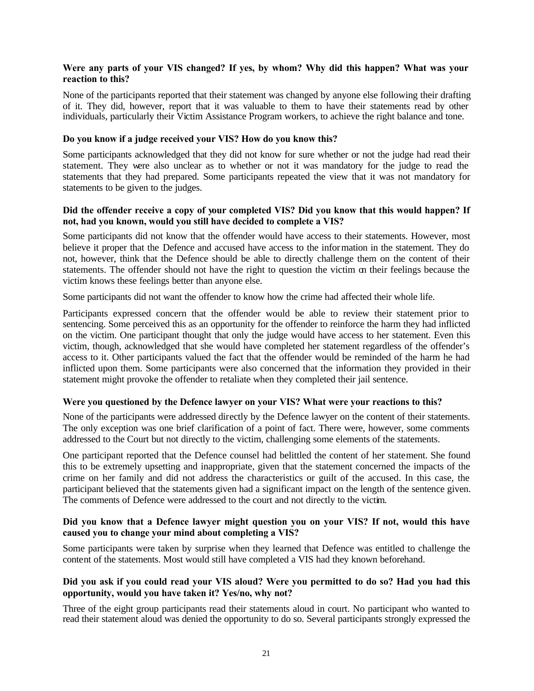#### **Were any parts of your VIS changed? If yes, by whom? Why did this happen? What was your reaction to this?**

None of the participants reported that their statement was changed by anyone else following their drafting of it. They did, however, report that it was valuable to them to have their statements read by other individuals, particularly their Victim Assistance Program workers, to achieve the right balance and tone.

#### **Do you know if a judge received your VIS? How do you know this?**

Some participants acknowledged that they did not know for sure whether or not the judge had read their statement. They were also unclear as to whether or not it was mandatory for the judge to read the statements that they had prepared. Some participants repeated the view that it was not mandatory for statements to be given to the judges.

#### **Did the offender receive a copy of your completed VIS? Did you know that this would happen? If not, had you known, would you still have decided to complete a VIS?**

Some participants did not know that the offender would have access to their statements. However, most believe it proper that the Defence and accused have access to the information in the statement. They do not, however, think that the Defence should be able to directly challenge them on the content of their statements. The offender should not have the right to question the victim on their feelings because the victim knows these feelings better than anyone else.

Some participants did not want the offender to know how the crime had affected their whole life.

Participants expressed concern that the offender would be able to review their statement prior to sentencing. Some perceived this as an opportunity for the offender to reinforce the harm they had inflicted on the victim. One participant thought that only the judge would have access to her statement. Even this victim, though, acknowledged that she would have completed her statement regardless of the offender's access to it. Other participants valued the fact that the offender would be reminded of the harm he had inflicted upon them. Some participants were also concerned that the information they provided in their statement might provoke the offender to retaliate when they completed their jail sentence.

#### **Were you questioned by the Defence lawyer on your VIS? What were your reactions to this?**

None of the participants were addressed directly by the Defence lawyer on the content of their statements. The only exception was one brief clarification of a point of fact. There were, however, some comments addressed to the Court but not directly to the victim, challenging some elements of the statements.

One participant reported that the Defence counsel had belittled the content of her statement. She found this to be extremely upsetting and inappropriate, given that the statement concerned the impacts of the crime on her family and did not address the characteristics or guilt of the accused. In this case, the participant believed that the statements given had a significant impact on the length of the sentence given. The comments of Defence were addressed to the court and not directly to the victim.

### **Did you know that a Defence lawyer might question you on your VIS? If not, would this have caused you to change your mind about completing a VIS?**

Some participants were taken by surprise when they learned that Defence was entitled to challenge the content of the statements. Most would still have completed a VIS had they known beforehand.

#### **Did you ask if you could read your VIS aloud? Were you permitted to do so? Had you had this opportunity, would you have taken it? Yes/no, why not?**

Three of the eight group participants read their statements aloud in court. No participant who wanted to read their statement aloud was denied the opportunity to do so. Several participants strongly expressed the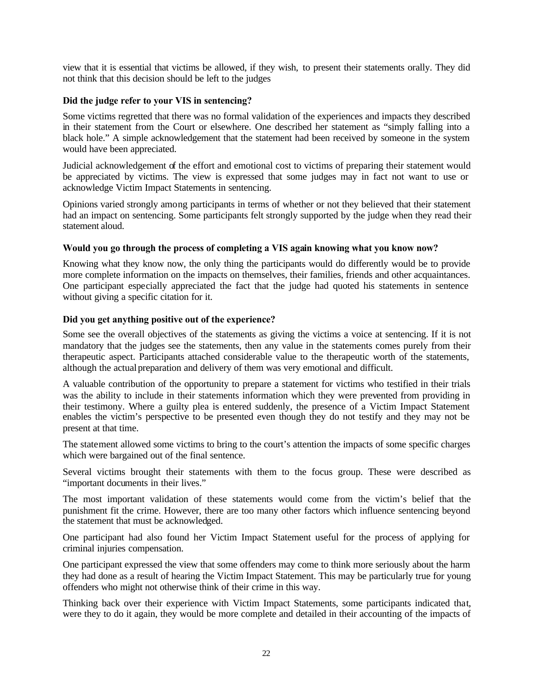view that it is essential that victims be allowed, if they wish, to present their statements orally. They did not think that this decision should be left to the judges

#### **Did the judge refer to your VIS in sentencing?**

Some victims regretted that there was no formal validation of the experiences and impacts they described in their statement from the Court or elsewhere. One described her statement as "simply falling into a black hole." A simple acknowledgement that the statement had been received by someone in the system would have been appreciated.

Judicial acknowledgement of the effort and emotional cost to victims of preparing their statement would be appreciated by victims. The view is expressed that some judges may in fact not want to use or acknowledge Victim Impact Statements in sentencing.

Opinions varied strongly among participants in terms of whether or not they believed that their statement had an impact on sentencing. Some participants felt strongly supported by the judge when they read their statement aloud.

#### **Would you go through the process of completing a VIS again knowing what you know now?**

Knowing what they know now, the only thing the participants would do differently would be to provide more complete information on the impacts on themselves, their families, friends and other acquaintances. One participant especially appreciated the fact that the judge had quoted his statements in sentence without giving a specific citation for it.

#### **Did you get anything positive out of the experience?**

Some see the overall objectives of the statements as giving the victims a voice at sentencing. If it is not mandatory that the judges see the statements, then any value in the statements comes purely from their therapeutic aspect. Participants attached considerable value to the therapeutic worth of the statements, although the actual preparation and delivery of them was very emotional and difficult.

A valuable contribution of the opportunity to prepare a statement for victims who testified in their trials was the ability to include in their statements information which they were prevented from providing in their testimony. Where a guilty plea is entered suddenly, the presence of a Victim Impact Statement enables the victim's perspective to be presented even though they do not testify and they may not be present at that time.

The statement allowed some victims to bring to the court's attention the impacts of some specific charges which were bargained out of the final sentence.

Several victims brought their statements with them to the focus group. These were described as "important documents in their lives."

The most important validation of these statements would come from the victim's belief that the punishment fit the crime. However, there are too many other factors which influence sentencing beyond the statement that must be acknowledged.

One participant had also found her Victim Impact Statement useful for the process of applying for criminal injuries compensation.

One participant expressed the view that some offenders may come to think more seriously about the harm they had done as a result of hearing the Victim Impact Statement. This may be particularly true for young offenders who might not otherwise think of their crime in this way.

Thinking back over their experience with Victim Impact Statements, some participants indicated that, were they to do it again, they would be more complete and detailed in their accounting of the impacts of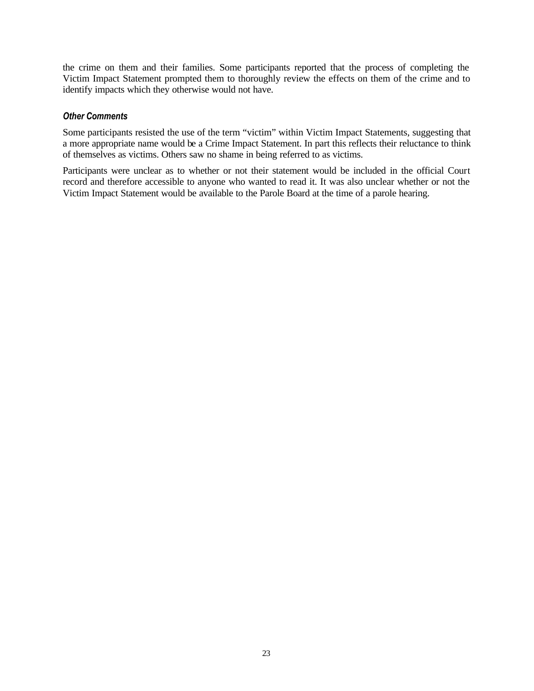the crime on them and their families. Some participants reported that the process of completing the Victim Impact Statement prompted them to thoroughly review the effects on them of the crime and to identify impacts which they otherwise would not have.

#### *Other Comments*

Some participants resisted the use of the term "victim" within Victim Impact Statements, suggesting that a more appropriate name would be a Crime Impact Statement. In part this reflects their reluctance to think of themselves as victims. Others saw no shame in being referred to as victims.

Participants were unclear as to whether or not their statement would be included in the official Court record and therefore accessible to anyone who wanted to read it. It was also unclear whether or not the Victim Impact Statement would be available to the Parole Board at the time of a parole hearing.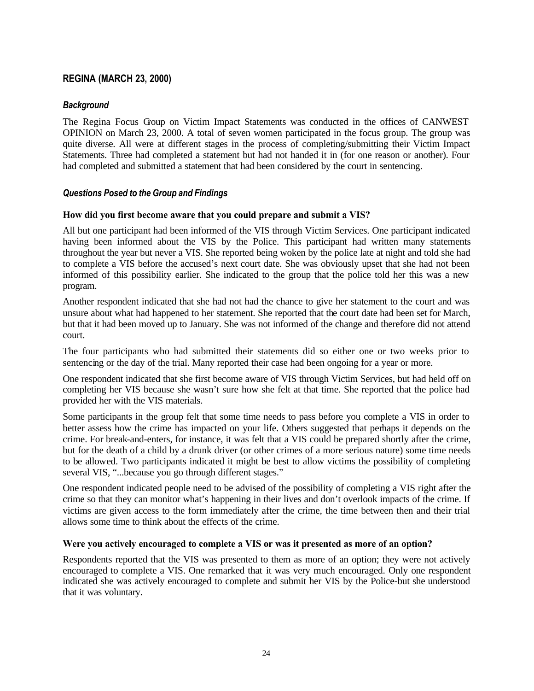### **REGINA (MARCH 23, 2000)**

#### *Background*

The Regina Focus Group on Victim Impact Statements was conducted in the offices of CANWEST OPINION on March 23, 2000. A total of seven women participated in the focus group. The group was quite diverse. All were at different stages in the process of completing/submitting their Victim Impact Statements. Three had completed a statement but had not handed it in (for one reason or another). Four had completed and submitted a statement that had been considered by the court in sentencing.

#### *Questions Posed to the Group and Findings*

#### **How did you first become aware that you could prepare and submit a VIS?**

All but one participant had been informed of the VIS through Victim Services. One participant indicated having been informed about the VIS by the Police. This participant had written many statements throughout the year but never a VIS. She reported being woken by the police late at night and told she had to complete a VIS before the accused's next court date. She was obviously upset that she had not been informed of this possibility earlier. She indicated to the group that the police told her this was a new program.

Another respondent indicated that she had not had the chance to give her statement to the court and was unsure about what had happened to her statement. She reported that the court date had been set for March, but that it had been moved up to January. She was not informed of the change and therefore did not attend court.

The four participants who had submitted their statements did so either one or two weeks prior to sentencing or the day of the trial. Many reported their case had been ongoing for a year or more.

One respondent indicated that she first become aware of VIS through Victim Services, but had held off on completing her VIS because she wasn't sure how she felt at that time. She reported that the police had provided her with the VIS materials.

Some participants in the group felt that some time needs to pass before you complete a VIS in order to better assess how the crime has impacted on your life. Others suggested that perhaps it depends on the crime. For break-and-enters, for instance, it was felt that a VIS could be prepared shortly after the crime, but for the death of a child by a drunk driver (or other crimes of a more serious nature) some time needs to be allowed. Two participants indicated it might be best to allow victims the possibility of completing several VIS, "...because you go through different stages."

One respondent indicated people need to be advised of the possibility of completing a VIS right after the crime so that they can monitor what's happening in their lives and don't overlook impacts of the crime. If victims are given access to the form immediately after the crime, the time between then and their trial allows some time to think about the effects of the crime.

#### **Were you actively encouraged to complete a VIS or was it presented as more of an option?**

Respondents reported that the VIS was presented to them as more of an option; they were not actively encouraged to complete a VIS. One remarked that it was very much encouraged. Only one respondent indicated she was actively encouraged to complete and submit her VIS by the Police-but she understood that it was voluntary.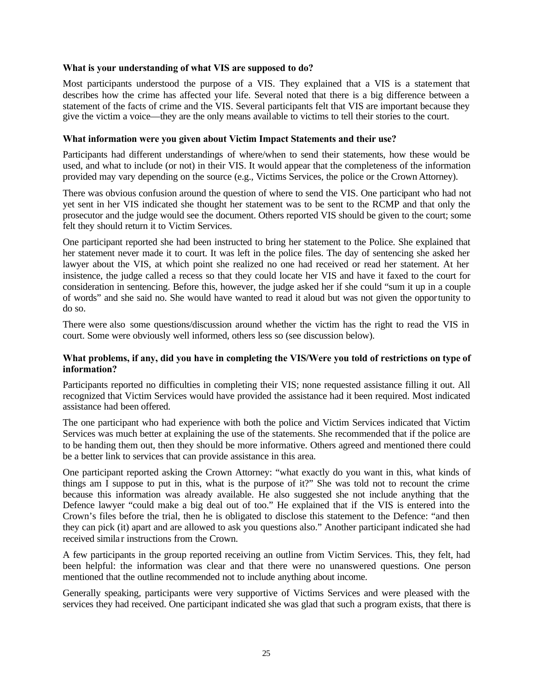#### **What is your understanding of what VIS are supposed to do?**

Most participants understood the purpose of a VIS. They explained that a VIS is a statement that describes how the crime has affected your life. Several noted that there is a big difference between a statement of the facts of crime and the VIS. Several participants felt that VIS are important because they give the victim a voice—they are the only means available to victims to tell their stories to the court.

#### **What information were you given about Victim Impact Statements and their use?**

Participants had different understandings of where/when to send their statements, how these would be used, and what to include (or not) in their VIS. It would appear that the completeness of the information provided may vary depending on the source (e.g., Victims Services, the police or the Crown Attorney).

There was obvious confusion around the question of where to send the VIS. One participant who had not yet sent in her VIS indicated she thought her statement was to be sent to the RCMP and that only the prosecutor and the judge would see the document. Others reported VIS should be given to the court; some felt they should return it to Victim Services.

One participant reported she had been instructed to bring her statement to the Police. She explained that her statement never made it to court. It was left in the police files. The day of sentencing she asked her lawyer about the VIS, at which point she realized no one had received or read her statement. At her insistence, the judge called a recess so that they could locate her VIS and have it faxed to the court for consideration in sentencing. Before this, however, the judge asked her if she could "sum it up in a couple of words" and she said no. She would have wanted to read it aloud but was not given the opportunity to do so.

There were also some questions/discussion around whether the victim has the right to read the VIS in court. Some were obviously well informed, others less so (see discussion below).

#### **What problems, if any, did you have in completing the VIS/Were you told of restrictions on type of information?**

Participants reported no difficulties in completing their VIS; none requested assistance filling it out. All recognized that Victim Services would have provided the assistance had it been required. Most indicated assistance had been offered.

The one participant who had experience with both the police and Victim Services indicated that Victim Services was much better at explaining the use of the statements. She recommended that if the police are to be handing them out, then they should be more informative. Others agreed and mentioned there could be a better link to services that can provide assistance in this area.

One participant reported asking the Crown Attorney: "what exactly do you want in this, what kinds of things am  $\overrightarrow{l}$  suppose to put in this, what is the purpose of it?" She was told not to recount the crime because this information was already available. He also suggested she not include anything that the Defence lawyer "could make a big deal out of too." He explained that if the VIS is entered into the Crown's files before the trial, then he is obligated to disclose this statement to the Defence: "and then they can pick (it) apart and are allowed to ask you questions also." Another participant indicated she had received simila r instructions from the Crown.

A few participants in the group reported receiving an outline from Victim Services. This, they felt, had been helpful: the information was clear and that there were no unanswered questions. One person mentioned that the outline recommended not to include anything about income.

Generally speaking, participants were very supportive of Victims Services and were pleased with the services they had received. One participant indicated she was glad that such a program exists, that there is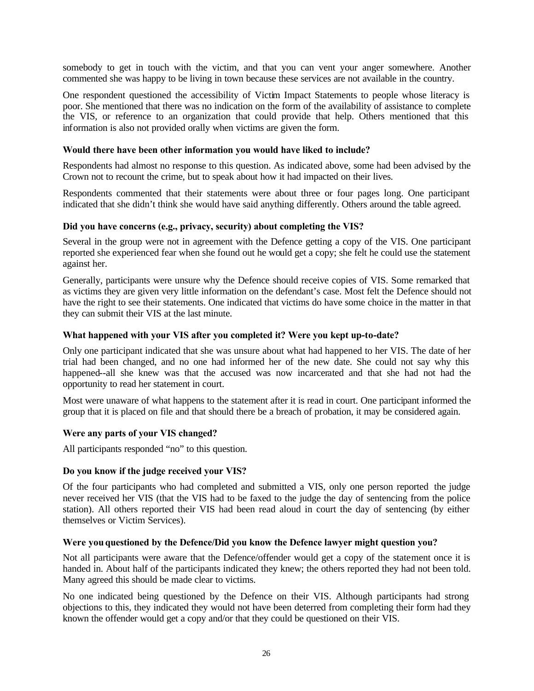somebody to get in touch with the victim, and that you can vent your anger somewhere. Another commented she was happy to be living in town because these services are not available in the country.

One respondent questioned the accessibility of Victim Impact Statements to people whose literacy is poor. She mentioned that there was no indication on the form of the availability of assistance to complete the VIS, or reference to an organization that could provide that help. Others mentioned that this information is also not provided orally when victims are given the form.

#### **Would there have been other information you would have liked to include?**

Respondents had almost no response to this question. As indicated above, some had been advised by the Crown not to recount the crime, but to speak about how it had impacted on their lives.

Respondents commented that their statements were about three or four pages long. One participant indicated that she didn't think she would have said anything differently. Others around the table agreed.

#### **Did you have concerns (e.g., privacy, security) about completing the VIS?**

Several in the group were not in agreement with the Defence getting a copy of the VIS. One participant reported she experienced fear when she found out he would get a copy; she felt he could use the statement against her.

Generally, participants were unsure why the Defence should receive copies of VIS. Some remarked that as victims they are given very little information on the defendant's case. Most felt the Defence should not have the right to see their statements. One indicated that victims do have some choice in the matter in that they can submit their VIS at the last minute.

#### **What happened with your VIS after you completed it? Were you kept up-to-date?**

Only one participant indicated that she was unsure about what had happened to her VIS. The date of her trial had been changed, and no one had informed her of the new date. She could not say why this happened--all she knew was that the accused was now incarcerated and that she had not had the opportunity to read her statement in court.

Most were unaware of what happens to the statement after it is read in court. One participant informed the group that it is placed on file and that should there be a breach of probation, it may be considered again.

#### **Were any parts of your VIS changed?**

All participants responded "no" to this question.

#### **Do you know if the judge received your VIS?**

Of the four participants who had completed and submitted a VIS, only one person reported the judge never received her VIS (that the VIS had to be faxed to the judge the day of sentencing from the police station). All others reported their VIS had been read aloud in court the day of sentencing (by either themselves or Victim Services).

#### **Were you questioned by the Defence/Did you know the Defence lawyer might question you?**

Not all participants were aware that the Defence/offender would get a copy of the statement once it is handed in. About half of the participants indicated they knew; the others reported they had not been told. Many agreed this should be made clear to victims.

No one indicated being questioned by the Defence on their VIS. Although participants had strong objections to this, they indicated they would not have been deterred from completing their form had they known the offender would get a copy and/or that they could be questioned on their VIS.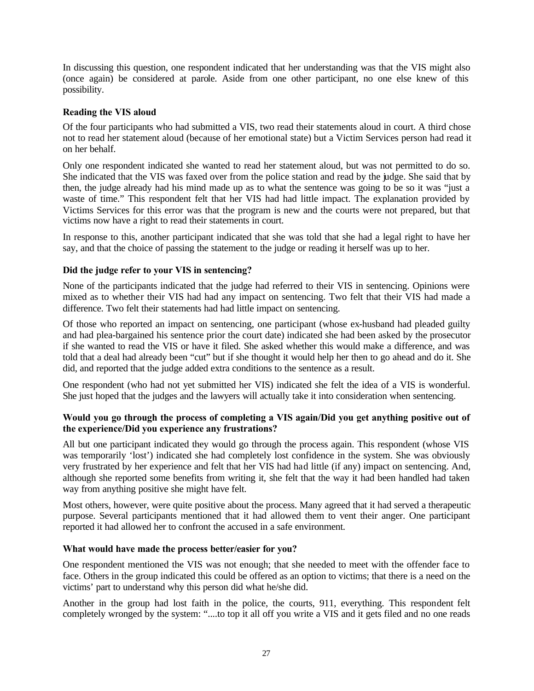In discussing this question, one respondent indicated that her understanding was that the VIS might also (once again) be considered at parole. Aside from one other participant, no one else knew of this possibility.

#### **Reading the VIS aloud**

Of the four participants who had submitted a VIS, two read their statements aloud in court. A third chose not to read her statement aloud (because of her emotional state) but a Victim Services person had read it on her behalf.

Only one respondent indicated she wanted to read her statement aloud, but was not permitted to do so. She indicated that the VIS was faxed over from the police station and read by the judge. She said that by then, the judge already had his mind made up as to what the sentence was going to be so it was "just a waste of time." This respondent felt that her VIS had had little impact. The explanation provided by Victims Services for this error was that the program is new and the courts were not prepared, but that victims now have a right to read their statements in court.

In response to this, another participant indicated that she was told that she had a legal right to have her say, and that the choice of passing the statement to the judge or reading it herself was up to her.

#### **Did the judge refer to your VIS in sentencing?**

None of the participants indicated that the judge had referred to their VIS in sentencing. Opinions were mixed as to whether their VIS had had any impact on sentencing. Two felt that their VIS had made a difference. Two felt their statements had had little impact on sentencing.

Of those who reported an impact on sentencing, one participant (whose ex-husband had pleaded guilty and had plea-bargained his sentence prior the court date) indicated she had been asked by the prosecutor if she wanted to read the VIS or have it filed. She asked whether this would make a difference, and was told that a deal had already been "cut" but if she thought it would help her then to go ahead and do it. She did, and reported that the judge added extra conditions to the sentence as a result.

One respondent (who had not yet submitted her VIS) indicated she felt the idea of a VIS is wonderful. She just hoped that the judges and the lawyers will actually take it into consideration when sentencing.

#### **Would you go through the process of completing a VIS again/Did you get anything positive out of the experience/Did you experience any frustrations?**

All but one participant indicated they would go through the process again. This respondent (whose VIS was temporarily 'lost') indicated she had completely lost confidence in the system. She was obviously very frustrated by her experience and felt that her VIS had had little (if any) impact on sentencing. And, although she reported some benefits from writing it, she felt that the way it had been handled had taken way from anything positive she might have felt.

Most others, however, were quite positive about the process. Many agreed that it had served a therapeutic purpose. Several participants mentioned that it had allowed them to vent their anger. One participant reported it had allowed her to confront the accused in a safe environment.

#### **What would have made the process better/easier for you?**

One respondent mentioned the VIS was not enough; that she needed to meet with the offender face to face. Others in the group indicated this could be offered as an option to victims; that there is a need on the victims' part to understand why this person did what he/she did.

Another in the group had lost faith in the police, the courts, 911, everything. This respondent felt completely wronged by the system: "....to top it all off you write a VIS and it gets filed and no one reads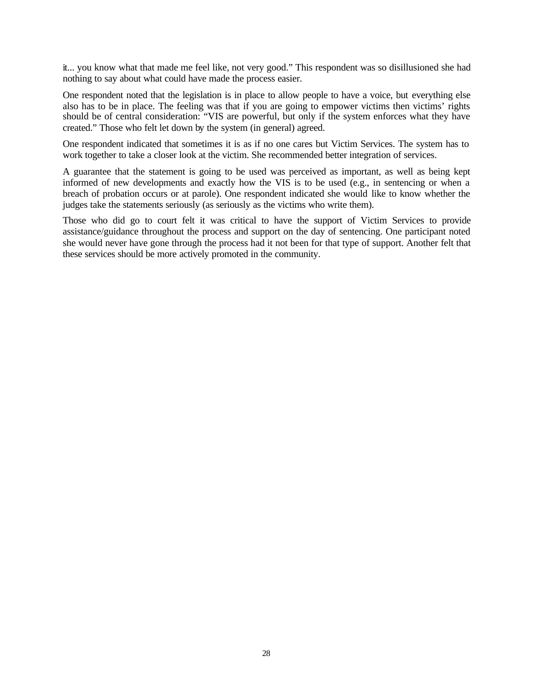it... you know what that made me feel like, not very good." This respondent was so disillusioned she had nothing to say about what could have made the process easier.

One respondent noted that the legislation is in place to allow people to have a voice, but everything else also has to be in place. The feeling was that if you are going to empower victims then victims' rights should be of central consideration: "VIS are powerful, but only if the system enforces what they have created." Those who felt let down by the system (in general) agreed.

One respondent indicated that sometimes it is as if no one cares but Victim Services. The system has to work together to take a closer look at the victim. She recommended better integration of services.

A guarantee that the statement is going to be used was perceived as important, as well as being kept informed of new developments and exactly how the VIS is to be used (e.g., in sentencing or when a breach of probation occurs or at parole). One respondent indicated she would like to know whether the judges take the statements seriously (as seriously as the victims who write them).

Those who did go to court felt it was critical to have the support of Victim Services to provide assistance/guidance throughout the process and support on the day of sentencing. One participant noted she would never have gone through the process had it not been for that type of support. Another felt that these services should be more actively promoted in the community.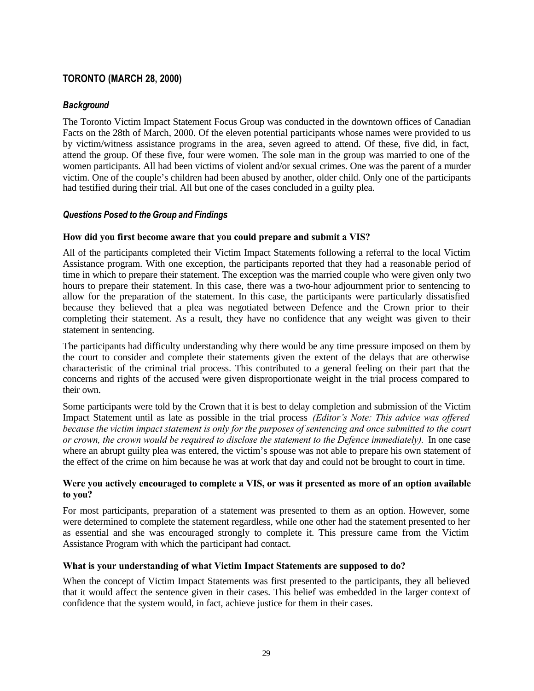### **TORONTO (MARCH 28, 2000)**

### *Background*

The Toronto Victim Impact Statement Focus Group was conducted in the downtown offices of Canadian Facts on the 28th of March, 2000. Of the eleven potential participants whose names were provided to us by victim/witness assistance programs in the area, seven agreed to attend. Of these, five did, in fact, attend the group. Of these five, four were women. The sole man in the group was married to one of the women participants. All had been victims of violent and/or sexual crimes. One was the parent of a murder victim. One of the couple's children had been abused by another, older child. Only one of the participants had testified during their trial. All but one of the cases concluded in a guilty plea.

### *Questions Posed to the Group and Findings*

#### **How did you first become aware that you could prepare and submit a VIS?**

All of the participants completed their Victim Impact Statements following a referral to the local Victim Assistance program. With one exception, the participants reported that they had a reasonable period of time in which to prepare their statement. The exception was the married couple who were given only two hours to prepare their statement. In this case, there was a two-hour adjournment prior to sentencing to allow for the preparation of the statement. In this case, the participants were particularly dissatisfied because they believed that a plea was negotiated between Defence and the Crown prior to their completing their statement. As a result, they have no confidence that any weight was given to their statement in sentencing.

The participants had difficulty understanding why there would be any time pressure imposed on them by the court to consider and complete their statements given the extent of the delays that are otherwise characteristic of the criminal trial process. This contributed to a general feeling on their part that the concerns and rights of the accused were given disproportionate weight in the trial process compared to their own.

Some participants were told by the Crown that it is best to delay completion and submission of the Victim Impact Statement until as late as possible in the trial process *(Editor's Note: This advice was offered because the victim impact statement is only for the purposes of sentencing and once submitted to the court or crown, the crown would be required to disclose the statement to the Defence immediately).* In one case where an abrupt guilty plea was entered, the victim's spouse was not able to prepare his own statement of the effect of the crime on him because he was at work that day and could not be brought to court in time.

#### **Were you actively encouraged to complete a VIS, or was it presented as more of an option available to you?**

For most participants, preparation of a statement was presented to them as an option. However, some were determined to complete the statement regardless, while one other had the statement presented to her as essential and she was encouraged strongly to complete it. This pressure came from the Victim Assistance Program with which the participant had contact.

#### **What is your understanding of what Victim Impact Statements are supposed to do?**

When the concept of Victim Impact Statements was first presented to the participants, they all believed that it would affect the sentence given in their cases. This belief was embedded in the larger context of confidence that the system would, in fact, achieve justice for them in their cases.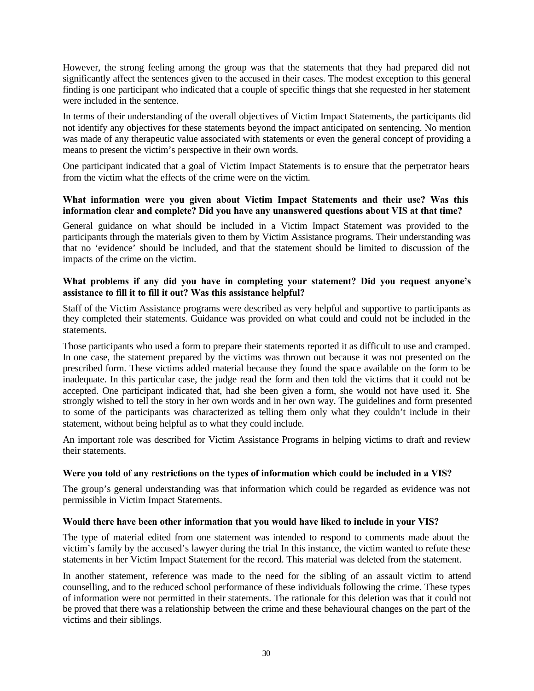However, the strong feeling among the group was that the statements that they had prepared did not significantly affect the sentences given to the accused in their cases. The modest exception to this general finding is one participant who indicated that a couple of specific things that she requested in her statement were included in the sentence.

In terms of their understanding of the overall objectives of Victim Impact Statements, the participants did not identify any objectives for these statements beyond the impact anticipated on sentencing. No mention was made of any therapeutic value associated with statements or even the general concept of providing a means to present the victim's perspective in their own words.

One participant indicated that a goal of Victim Impact Statements is to ensure that the perpetrator hears from the victim what the effects of the crime were on the victim.

#### **What information were you given about Victim Impact Statements and their use? Was this information clear and complete? Did you have any unanswered questions about VIS at that time?**

General guidance on what should be included in a Victim Impact Statement was provided to the participants through the materials given to them by Victim Assistance programs. Their understanding was that no 'evidence' should be included, and that the statement should be limited to discussion of the impacts of the crime on the victim.

#### **What problems if any did you have in completing your statement? Did you request anyone's assistance to fill it to fill it out? Was this assistance helpful?**

Staff of the Victim Assistance programs were described as very helpful and supportive to participants as they completed their statements. Guidance was provided on what could and could not be included in the statements.

Those participants who used a form to prepare their statements reported it as difficult to use and cramped. In one case, the statement prepared by the victims was thrown out because it was not presented on the prescribed form. These victims added material because they found the space available on the form to be inadequate. In this particular case, the judge read the form and then told the victims that it could not be accepted. One participant indicated that, had she been given a form, she would not have used it. She strongly wished to tell the story in her own words and in her own way. The guidelines and form presented to some of the participants was characterized as telling them only what they couldn't include in their statement, without being helpful as to what they could include.

An important role was described for Victim Assistance Programs in helping victims to draft and review their statements.

#### **Were you told of any restrictions on the types of information which could be included in a VIS?**

The group's general understanding was that information which could be regarded as evidence was not permissible in Victim Impact Statements.

#### **Would there have been other information that you would have liked to include in your VIS?**

The type of material edited from one statement was intended to respond to comments made about the victim's family by the accused's lawyer during the trial. In this instance, the victim wanted to refute these statements in her Victim Impact Statement for the record. This material was deleted from the statement.

In another statement, reference was made to the need for the sibling of an assault victim to attend counselling, and to the reduced school performance of these individuals following the crime. These types of information were not permitted in their statements. The rationale for this deletion was that it could not be proved that there was a relationship between the crime and these behavioural changes on the part of the victims and their siblings.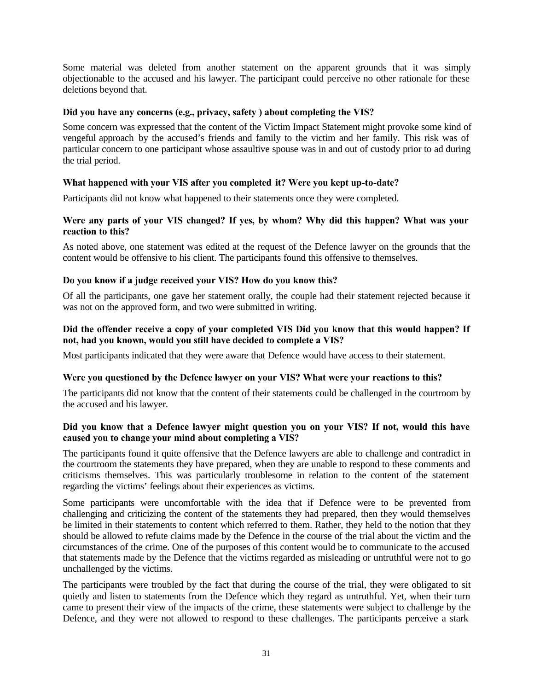Some material was deleted from another statement on the apparent grounds that it was simply objectionable to the accused and his lawyer. The participant could perceive no other rationale for these deletions beyond that.

#### **Did you have any concerns (e.g., privacy, safety ) about completing the VIS?**

Some concern was expressed that the content of the Victim Impact Statement might provoke some kind of vengeful approach by the accused's friends and family to the victim and her family. This risk was of particular concern to one participant whose assaultive spouse was in and out of custody prior to ad during the trial period.

#### **What happened with your VIS after you completed it? Were you kept up-to-date?**

Participants did not know what happened to their statements once they were completed.

#### **Were any parts of your VIS changed? If yes, by whom? Why did this happen? What was your reaction to this?**

As noted above, one statement was edited at the request of the Defence lawyer on the grounds that the content would be offensive to his client. The participants found this offensive to themselves.

#### **Do you know if a judge received your VIS? How do you know this?**

Of all the participants, one gave her statement orally, the couple had their statement rejected because it was not on the approved form, and two were submitted in writing.

#### **Did the offender receive a copy of your completed VIS Did you know that this would happen? If not, had you known, would you still have decided to complete a VIS?**

Most participants indicated that they were aware that Defence would have access to their statement.

#### **Were you questioned by the Defence lawyer on your VIS? What were your reactions to this?**

The participants did not know that the content of their statements could be challenged in the courtroom by the accused and his lawyer.

#### **Did you know that a Defence lawyer might question you on your VIS? If not, would this have caused you to change your mind about completing a VIS?**

The participants found it quite offensive that the Defence lawyers are able to challenge and contradict in the courtroom the statements they have prepared, when they are unable to respond to these comments and criticisms themselves. This was particularly troublesome in relation to the content of the statement regarding the victims' feelings about their experiences as victims.

Some participants were uncomfortable with the idea that if Defence were to be prevented from challenging and criticizing the content of the statements they had prepared, then they would themselves be limited in their statements to content which referred to them. Rather, they held to the notion that they should be allowed to refute claims made by the Defence in the course of the trial about the victim and the circumstances of the crime. One of the purposes of this content would be to communicate to the accused that statements made by the Defence that the victims regarded as misleading or untruthful were not to go unchallenged by the victims.

The participants were troubled by the fact that during the course of the trial, they were obligated to sit quietly and listen to statements from the Defence which they regard as untruthful. Yet, when their turn came to present their view of the impacts of the crime, these statements were subject to challenge by the Defence, and they were not allowed to respond to these challenges. The participants perceive a stark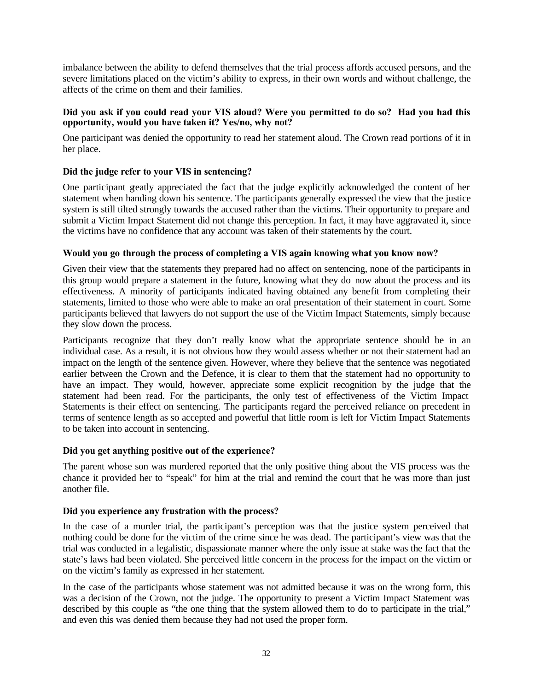imbalance between the ability to defend themselves that the trial process affords accused persons, and the severe limitations placed on the victim's ability to express, in their own words and without challenge, the affects of the crime on them and their families.

#### **Did you ask if you could read your VIS aloud? Were you permitted to do so? Had you had this opportunity, would you have taken it? Yes/no, why not?**

One participant was denied the opportunity to read her statement aloud. The Crown read portions of it in her place.

#### **Did the judge refer to your VIS in sentencing?**

One participant greatly appreciated the fact that the judge explicitly acknowledged the content of her statement when handing down his sentence. The participants generally expressed the view that the justice system is still tilted strongly towards the accused rather than the victims. Their opportunity to prepare and submit a Victim Impact Statement did not change this perception. In fact, it may have aggravated it, since the victims have no confidence that any account was taken of their statements by the court.

#### **Would you go through the process of completing a VIS again knowing what you know now?**

Given their view that the statements they prepared had no affect on sentencing, none of the participants in this group would prepare a statement in the future, knowing what they do now about the process and its effectiveness. A minority of participants indicated having obtained any benefit from completing their statements, limited to those who were able to make an oral presentation of their statement in court. Some participants believed that lawyers do not support the use of the Victim Impact Statements, simply because they slow down the process.

Participants recognize that they don't really know what the appropriate sentence should be in an individual case. As a result, it is not obvious how they would assess whether or not their statement had an impact on the length of the sentence given. However, where they believe that the sentence was negotiated earlier between the Crown and the Defence, it is clear to them that the statement had no opportunity to have an impact. They would, however, appreciate some explicit recognition by the judge that the statement had been read. For the participants, the only test of effectiveness of the Victim Impact Statements is their effect on sentencing. The participants regard the perceived reliance on precedent in terms of sentence length as so accepted and powerful that little room is left for Victim Impact Statements to be taken into account in sentencing.

#### **Did you get anything positive out of the experience?**

The parent whose son was murdered reported that the only positive thing about the VIS process was the chance it provided her to "speak" for him at the trial and remind the court that he was more than just another file.

#### **Did you experience any frustration with the process?**

In the case of a murder trial, the participant's perception was that the justice system perceived that nothing could be done for the victim of the crime since he was dead. The participant's view was that the trial was conducted in a legalistic, dispassionate manner where the only issue at stake was the fact that the state's laws had been violated. She perceived little concern in the process for the impact on the victim or on the victim's family as expressed in her statement.

In the case of the participants whose statement was not admitted because it was on the wrong form, this was a decision of the Crown, not the judge. The opportunity to present a Victim Impact Statement was described by this couple as "the one thing that the system allowed them to do to participate in the trial," and even this was denied them because they had not used the proper form.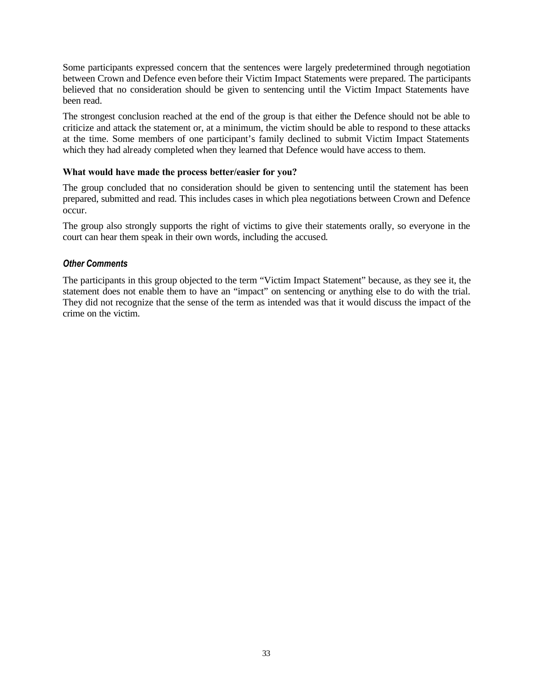Some participants expressed concern that the sentences were largely predetermined through negotiation between Crown and Defence even before their Victim Impact Statements were prepared. The participants believed that no consideration should be given to sentencing until the Victim Impact Statements have been read.

The strongest conclusion reached at the end of the group is that either the Defence should not be able to criticize and attack the statement or, at a minimum, the victim should be able to respond to these attacks at the time. Some members of one participant's family declined to submit Victim Impact Statements which they had already completed when they learned that Defence would have access to them.

#### **What would have made the process better/easier for you?**

The group concluded that no consideration should be given to sentencing until the statement has been prepared, submitted and read. This includes cases in which plea negotiations between Crown and Defence occur.

The group also strongly supports the right of victims to give their statements orally, so everyone in the court can hear them speak in their own words, including the accused.

#### *Other Comments*

The participants in this group objected to the term "Victim Impact Statement" because, as they see it, the statement does not enable them to have an "impact" on sentencing or anything else to do with the trial. They did not recognize that the sense of the term as intended was that it would discuss the impact of the crime on the victim.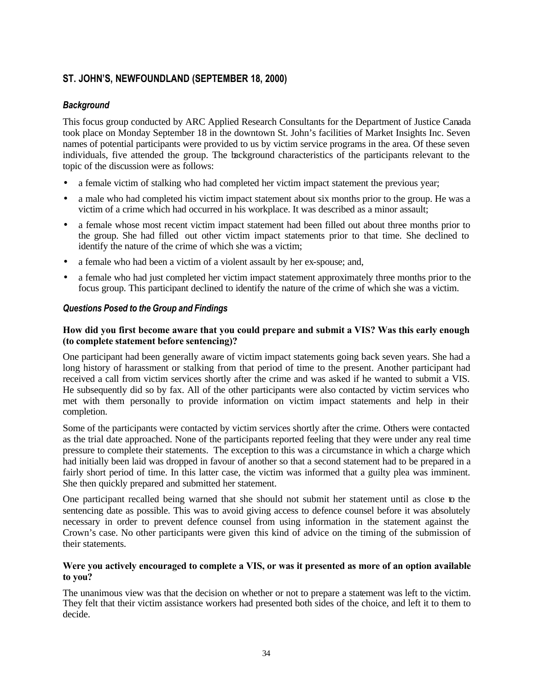## **ST. JOHN'S, NEWFOUNDLAND (SEPTEMBER 18, 2000)**

### *Background*

This focus group conducted by ARC Applied Research Consultants for the Department of Justice Canada took place on Monday September 18 in the downtown St. John's facilities of Market Insights Inc. Seven names of potential participants were provided to us by victim service programs in the area. Of these seven individuals, five attended the group. The background characteristics of the participants relevant to the topic of the discussion were as follows:

- a female victim of stalking who had completed her victim impact statement the previous year;
- a male who had completed his victim impact statement about six months prior to the group. He was a victim of a crime which had occurred in his workplace. It was described as a minor assault;
- a female whose most recent victim impact statement had been filled out about three months prior to the group. She had filled out other victim impact statements prior to that time. She declined to identify the nature of the crime of which she was a victim;
- a female who had been a victim of a violent assault by her ex-spouse; and,
- a female who had just completed her victim impact statement approximately three months prior to the focus group. This participant declined to identify the nature of the crime of which she was a victim.

### *Questions Posed to the Group and Findings*

#### **How did you first become aware that you could prepare and submit a VIS? Was this early enough (to complete statement before sentencing)?**

One participant had been generally aware of victim impact statements going back seven years. She had a long history of harassment or stalking from that period of time to the present. Another participant had received a call from victim services shortly after the crime and was asked if he wanted to submit a VIS. He subsequently did so by fax. All of the other participants were also contacted by victim services who met with them personally to provide information on victim impact statements and help in their completion.

Some of the participants were contacted by victim services shortly after the crime. Others were contacted as the trial date approached. None of the participants reported feeling that they were under any real time pressure to complete their statements. The exception to this was a circumstance in which a charge which had initially been laid was dropped in favour of another so that a second statement had to be prepared in a fairly short period of time. In this latter case, the victim was informed that a guilty plea was imminent. She then quickly prepared and submitted her statement.

One participant recalled being warned that she should not submit her statement until as close to the sentencing date as possible. This was to avoid giving access to defence counsel before it was absolutely necessary in order to prevent defence counsel from using information in the statement against the Crown's case. No other participants were given this kind of advice on the timing of the submission of their statements.

#### **Were you actively encouraged to complete a VIS, or was it presented as more of an option available to you?**

The unanimous view was that the decision on whether or not to prepare a statement was left to the victim. They felt that their victim assistance workers had presented both sides of the choice, and left it to them to decide.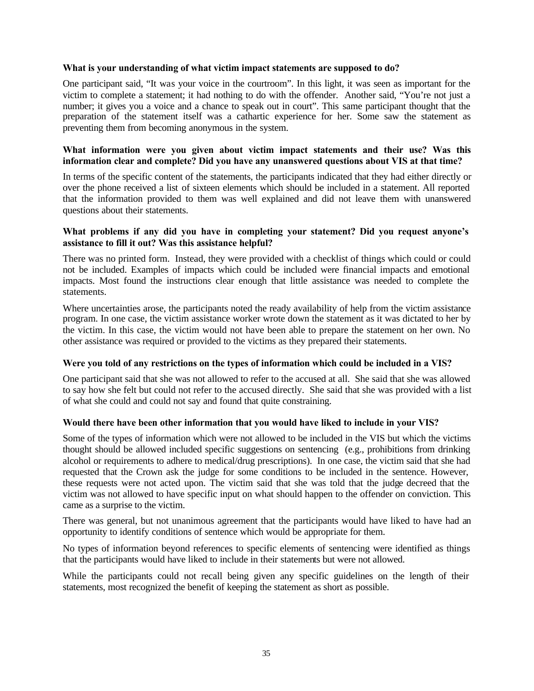#### **What is your understanding of what victim impact statements are supposed to do?**

One participant said, "It was your voice in the courtroom". In this light, it was seen as important for the victim to complete a statement; it had nothing to do with the offender. Another said, "You're not just a number; it gives you a voice and a chance to speak out in court". This same participant thought that the preparation of the statement itself was a cathartic experience for her. Some saw the statement as preventing them from becoming anonymous in the system.

#### **What information were you given about victim impact statements and their use? Was this information clear and complete? Did you have any unanswered questions about VIS at that time?**

In terms of the specific content of the statements, the participants indicated that they had either directly or over the phone received a list of sixteen elements which should be included in a statement. All reported that the information provided to them was well explained and did not leave them with unanswered questions about their statements.

#### **What problems if any did you have in completing your statement? Did you request anyone's assistance to fill it out? Was this assistance helpful?**

There was no printed form. Instead, they were provided with a checklist of things which could or could not be included. Examples of impacts which could be included were financial impacts and emotional impacts. Most found the instructions clear enough that little assistance was needed to complete the statements.

Where uncertainties arose, the participants noted the ready availability of help from the victim assistance program. In one case, the victim assistance worker wrote down the statement as it was dictated to her by the victim. In this case, the victim would not have been able to prepare the statement on her own. No other assistance was required or provided to the victims as they prepared their statements.

#### **Were you told of any restrictions on the types of information which could be included in a VIS?**

One participant said that she was not allowed to refer to the accused at all. She said that she was allowed to say how she felt but could not refer to the accused directly. She said that she was provided with a list of what she could and could not say and found that quite constraining.

#### **Would there have been other information that you would have liked to include in your VIS?**

Some of the types of information which were not allowed to be included in the VIS but which the victims thought should be allowed included specific suggestions on sentencing (e.g., prohibitions from drinking alcohol or requirements to adhere to medical/drug prescriptions). In one case, the victim said that she had requested that the Crown ask the judge for some conditions to be included in the sentence. However, these requests were not acted upon. The victim said that she was told that the judge decreed that the victim was not allowed to have specific input on what should happen to the offender on conviction. This came as a surprise to the victim.

There was general, but not unanimous agreement that the participants would have liked to have had an opportunity to identify conditions of sentence which would be appropriate for them.

No types of information beyond references to specific elements of sentencing were identified as things that the participants would have liked to include in their statements but were not allowed.

While the participants could not recall being given any specific guidelines on the length of their statements, most recognized the benefit of keeping the statement as short as possible.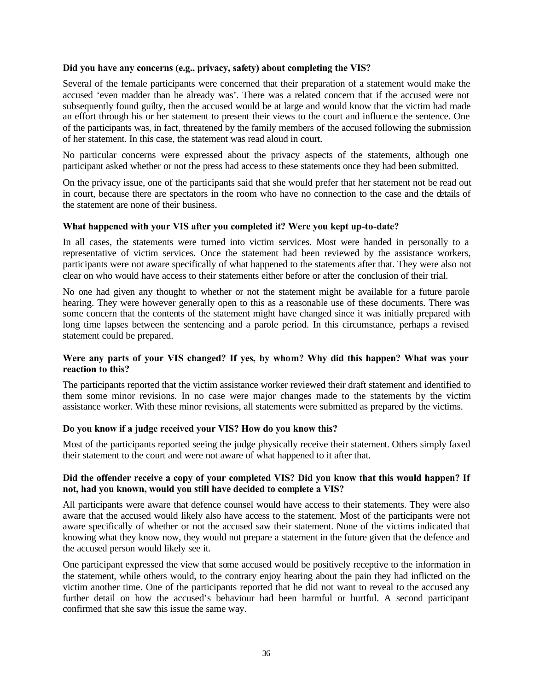#### **Did you have any concerns (e.g., privacy, safety) about completing the VIS?**

Several of the female participants were concerned that their preparation of a statement would make the accused 'even madder than he already was'. There was a related concern that if the accused were not subsequently found guilty, then the accused would be at large and would know that the victim had made an effort through his or her statement to present their views to the court and influence the sentence. One of the participants was, in fact, threatened by the family members of the accused following the submission of her statement. In this case, the statement was read aloud in court.

No particular concerns were expressed about the privacy aspects of the statements, although one participant asked whether or not the press had access to these statements once they had been submitted.

On the privacy issue, one of the participants said that she would prefer that her statement not be read out in court, because there are spectators in the room who have no connection to the case and the details of the statement are none of their business.

#### **What happened with your VIS after you completed it? Were you kept up-to-date?**

In all cases, the statements were turned into victim services. Most were handed in personally to a representative of victim services. Once the statement had been reviewed by the assistance workers, participants were not aware specifically of what happened to the statements after that. They were also not clear on who would have access to their statements either before or after the conclusion of their trial.

No one had given any thought to whether or not the statement might be available for a future parole hearing. They were however generally open to this as a reasonable use of these documents. There was some concern that the contents of the statement might have changed since it was initially prepared with long time lapses between the sentencing and a parole period. In this circumstance, perhaps a revised statement could be prepared.

#### **Were any parts of your VIS changed? If yes, by whom? Why did this happen? What was your reaction to this?**

The participants reported that the victim assistance worker reviewed their draft statement and identified to them some minor revisions. In no case were major changes made to the statements by the victim assistance worker. With these minor revisions, all statements were submitted as prepared by the victims.

#### **Do you know if a judge received your VIS? How do you know this?**

Most of the participants reported seeing the judge physically receive their statement. Others simply faxed their statement to the court and were not aware of what happened to it after that.

#### **Did the offender receive a copy of your completed VIS? Did you know that this would happen? If not, had you known, would you still have decided to complete a VIS?**

All participants were aware that defence counsel would have access to their statements. They were also aware that the accused would likely also have access to the statement. Most of the participants were not aware specifically of whether or not the accused saw their statement. None of the victims indicated that knowing what they know now, they would not prepare a statement in the future given that the defence and the accused person would likely see it.

One participant expressed the view that some accused would be positively receptive to the information in the statement, while others would, to the contrary enjoy hearing about the pain they had inflicted on the victim another time. One of the participants reported that he did not want to reveal to the accused any further detail on how the accused's behaviour had been harmful or hurtful. A second participant confirmed that she saw this issue the same way.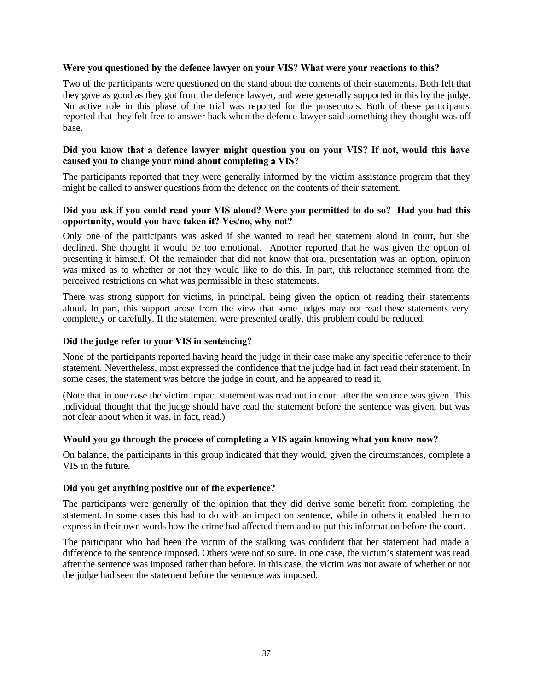#### **Were you questioned by the defence lawyer on your VIS? What were your reactions to this?**

Two of the participants were questioned on the stand about the contents of their statements. Both felt that they gave as good as they got from the defence lawyer, and were generally supported in this by the judge. No active role in this phase of the trial was reported for the prosecutors. Both of these participants reported that they felt free to answer back when the defence lawyer said something they thought was off base.

#### **Did you know that a defence lawyer might question you on your VIS? If not, would this have caused you to change your mind about completing a VIS?**

The participants reported that they were generally informed by the victim assistance program that they might be called to answer questions from the defence on the contents of their statement.

#### **Did you ask if you could read your VIS aloud? Were you permitted to do so? Had you had this opportunity, would you have taken it? Yes/no, why not?**

Only one of the participants was asked if she wanted to read her statement aloud in court, but she declined. She thought it would be too emotional. Another reported that he was given the option of presenting it himself. Of the remainder that did not know that oral presentation was an option, opinion was mixed as to whether or not they would like to do this. In part, this reluctance stemmed from the perceived restrictions on what was permissible in these statements.

There was strong support for victims, in principal, being given the option of reading their statements aloud. In part, this support arose from the view that some judges may not read these statements very completely or carefully. If the statement were presented orally, this problem could be reduced.

#### **Did the judge refer to your VIS in sentencing?**

None of the participants reported having heard the judge in their case make any specific reference to their statement. Nevertheless, most expressed the confidence that the judge had in fact read their statement. In some cases, the statement was before the judge in court, and he appeared to read it.

(Note that in one case the victim impact statement was read out in court after the sentence was given. This individual thought that the judge should have read the statement before the sentence was given, but was not clear about when it was, in fact, read.)

#### **Would you go through the process of completing a VIS again knowing what you know now?**

On balance, the participants in this group indicated that they would, given the circumstances, complete a VIS in the future.

#### **Did you get anything positive out of the experience?**

The participants were generally of the opinion that they did derive some benefit from completing the statement. In some cases this had to do with an impact on sentence, while in others it enabled them to express in their own words how the crime had affected them and to put this information before the court.

The participant who had been the victim of the stalking was confident that her statement had made a difference to the sentence imposed. Others were not so sure. In one case, the victim's statement was read after the sentence was imposed rather than before. In this case, the victim was not aware of whether or not the judge had seen the statement before the sentence was imposed.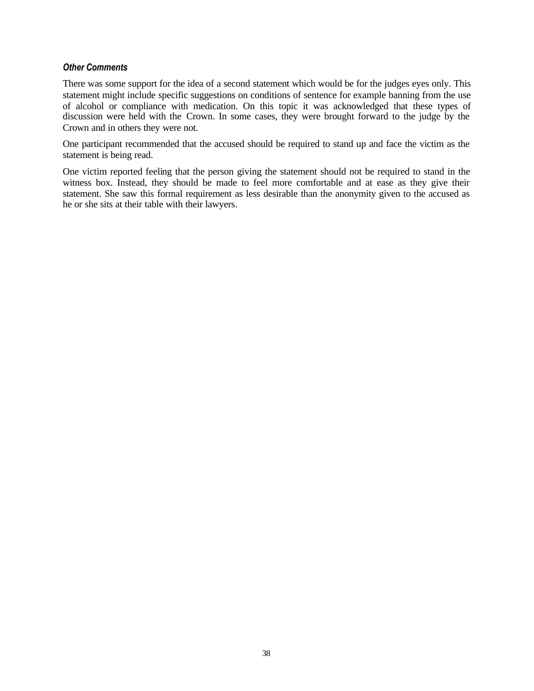#### *Other Comments*

There was some support for the idea of a second statement which would be for the judges eyes only. This statement might include specific suggestions on conditions of sentence for example banning from the use of alcohol or compliance with medication. On this topic it was acknowledged that these types of discussion were held with the Crown. In some cases, they were brought forward to the judge by the Crown and in others they were not.

One participant recommended that the accused should be required to stand up and face the victim as the statement is being read.

One victim reported feeling that the person giving the statement should not be required to stand in the witness box. Instead, they should be made to feel more comfortable and at ease as they give their statement. She saw this formal requirement as less desirable than the anonymity given to the accused as he or she sits at their table with their lawyers.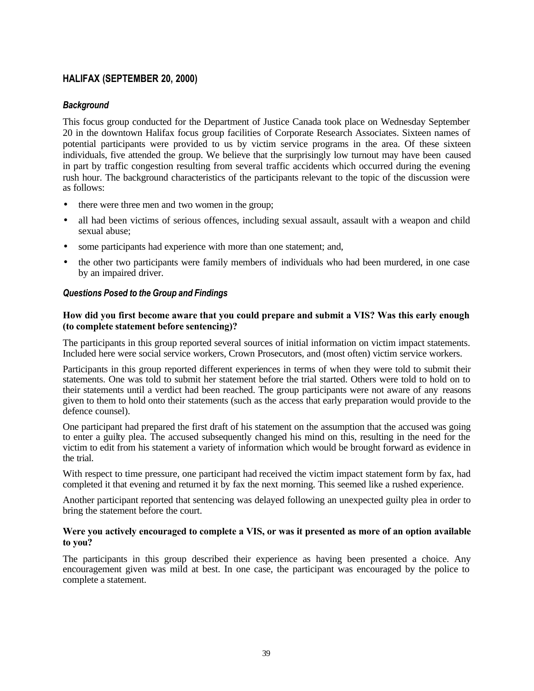### **HALIFAX (SEPTEMBER 20, 2000)**

### *Background*

This focus group conducted for the Department of Justice Canada took place on Wednesday September 20 in the downtown Halifax focus group facilities of Corporate Research Associates. Sixteen names of potential participants were provided to us by victim service programs in the area. Of these sixteen individuals, five attended the group. We believe that the surprisingly low turnout may have been caused in part by traffic congestion resulting from several traffic accidents which occurred during the evening rush hour. The background characteristics of the participants relevant to the topic of the discussion were as follows:

- there were three men and two women in the group;
- all had been victims of serious offences, including sexual assault, assault with a weapon and child sexual abuse;
- some participants had experience with more than one statement; and,
- the other two participants were family members of individuals who had been murdered, in one case by an impaired driver.

#### *Questions Posed to the Group and Findings*

#### **How did you first become aware that you could prepare and submit a VIS? Was this early enough (to complete statement before sentencing)?**

The participants in this group reported several sources of initial information on victim impact statements. Included here were social service workers, Crown Prosecutors, and (most often) victim service workers.

Participants in this group reported different experiences in terms of when they were told to submit their statements. One was told to submit her statement before the trial started. Others were told to hold on to their statements until a verdict had been reached. The group participants were not aware of any reasons given to them to hold onto their statements (such as the access that early preparation would provide to the defence counsel).

One participant had prepared the first draft of his statement on the assumption that the accused was going to enter a guilty plea. The accused subsequently changed his mind on this, resulting in the need for the victim to edit from his statement a variety of information which would be brought forward as evidence in the trial.

With respect to time pressure, one participant had received the victim impact statement form by fax, had completed it that evening and returned it by fax the next morning. This seemed like a rushed experience.

Another participant reported that sentencing was delayed following an unexpected guilty plea in order to bring the statement before the court.

#### **Were you actively encouraged to complete a VIS, or was it presented as more of an option available to you?**

The participants in this group described their experience as having been presented a choice. Any encouragement given was mild at best. In one case, the participant was encouraged by the police to complete a statement.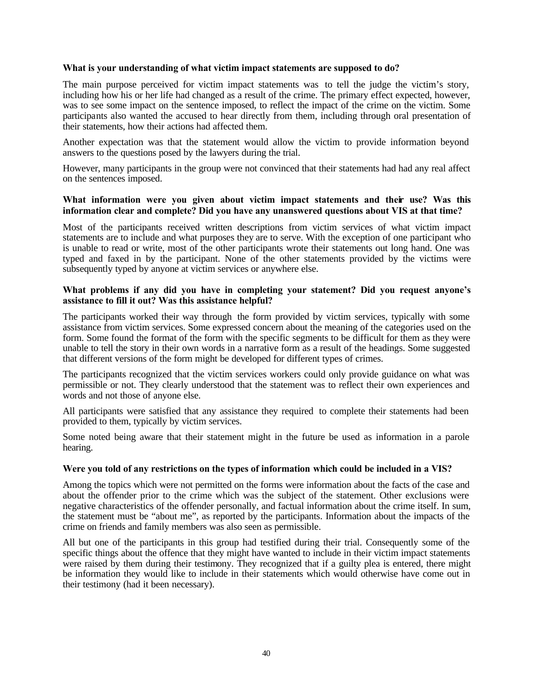#### **What is your understanding of what victim impact statements are supposed to do?**

The main purpose perceived for victim impact statements was to tell the judge the victim's story, including how his or her life had changed as a result of the crime. The primary effect expected, however, was to see some impact on the sentence imposed, to reflect the impact of the crime on the victim. Some participants also wanted the accused to hear directly from them, including through oral presentation of their statements, how their actions had affected them.

Another expectation was that the statement would allow the victim to provide information beyond answers to the questions posed by the lawyers during the trial.

However, many participants in the group were not convinced that their statements had had any real affect on the sentences imposed.

#### **What information were you given about victim impact statements and their use? Was this information clear and complete? Did you have any unanswered questions about VIS at that time?**

Most of the participants received written descriptions from victim services of what victim impact statements are to include and what purposes they are to serve. With the exception of one participant who is unable to read or write, most of the other participants wrote their statements out long hand. One was typed and faxed in by the participant. None of the other statements provided by the victims were subsequently typed by anyone at victim services or anywhere else.

#### **What problems if any did you have in completing your statement? Did you request anyone's assistance to fill it out? Was this assistance helpful?**

The participants worked their way through the form provided by victim services, typically with some assistance from victim services. Some expressed concern about the meaning of the categories used on the form. Some found the format of the form with the specific segments to be difficult for them as they were unable to tell the story in their own words in a narrative form as a result of the headings. Some suggested that different versions of the form might be developed for different types of crimes.

The participants recognized that the victim services workers could only provide guidance on what was permissible or not. They clearly understood that the statement was to reflect their own experiences and words and not those of anyone else.

All participants were satisfied that any assistance they required to complete their statements had been provided to them, typically by victim services.

Some noted being aware that their statement might in the future be used as information in a parole hearing.

#### **Were you told of any restrictions on the types of information which could be included in a VIS?**

Among the topics which were not permitted on the forms were information about the facts of the case and about the offender prior to the crime which was the subject of the statement. Other exclusions were negative characteristics of the offender personally, and factual information about the crime itself. In sum, the statement must be "about me", as reported by the participants. Information about the impacts of the crime on friends and family members was also seen as permissible.

All but one of the participants in this group had testified during their trial. Consequently some of the specific things about the offence that they might have wanted to include in their victim impact statements were raised by them during their testimony. They recognized that if a guilty plea is entered, there might be information they would like to include in their statements which would otherwise have come out in their testimony (had it been necessary).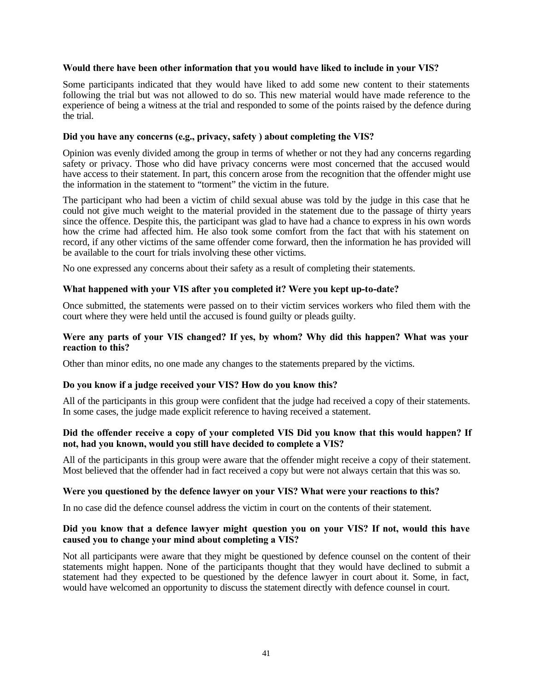#### **Would there have been other information that you would have liked to include in your VIS?**

Some participants indicated that they would have liked to add some new content to their statements following the trial but was not allowed to do so. This new material would have made reference to the experience of being a witness at the trial and responded to some of the points raised by the defence during the trial.

#### **Did you have any concerns (e.g., privacy, safety ) about completing the VIS?**

Opinion was evenly divided among the group in terms of whether or not they had any concerns regarding safety or privacy. Those who did have privacy concerns were most concerned that the accused would have access to their statement. In part, this concern arose from the recognition that the offender might use the information in the statement to "torment" the victim in the future.

The participant who had been a victim of child sexual abuse was told by the judge in this case that he could not give much weight to the material provided in the statement due to the passage of thirty years since the offence. Despite this, the participant was glad to have had a chance to express in his own words how the crime had affected him. He also took some comfort from the fact that with his statement on record, if any other victims of the same offender come forward, then the information he has provided will be available to the court for trials involving these other victims.

No one expressed any concerns about their safety as a result of completing their statements.

#### **What happened with your VIS after you completed it? Were you kept up-to-date?**

Once submitted, the statements were passed on to their victim services workers who filed them with the court where they were held until the accused is found guilty or pleads guilty.

#### **Were any parts of your VIS changed? If yes, by whom? Why did this happen? What was your reaction to this?**

Other than minor edits, no one made any changes to the statements prepared by the victims.

#### **Do you know if a judge received your VIS? How do you know this?**

All of the participants in this group were confident that the judge had received a copy of their statements. In some cases, the judge made explicit reference to having received a statement.

#### **Did the offender receive a copy of your completed VIS Did you know that this would happen? If not, had you known, would you still have decided to complete a VIS?**

All of the participants in this group were aware that the offender might receive a copy of their statement. Most believed that the offender had in fact received a copy but were not always certain that this was so.

#### **Were you questioned by the defence lawyer on your VIS? What were your reactions to this?**

In no case did the defence counsel address the victim in court on the contents of their statement.

#### **Did you know that a defence lawyer might question you on your VIS? If not, would this have caused you to change your mind about completing a VIS?**

Not all participants were aware that they might be questioned by defence counsel on the content of their statements might happen. None of the participants thought that they would have declined to submit a statement had they expected to be questioned by the defence lawyer in court about it. Some, in fact, would have welcomed an opportunity to discuss the statement directly with defence counsel in court.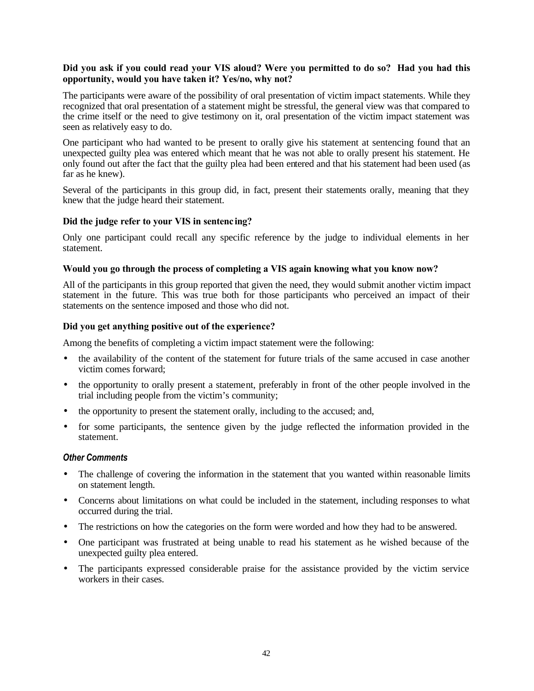#### **Did you ask if you could read your VIS aloud? Were you permitted to do so? Had you had this opportunity, would you have taken it? Yes/no, why not?**

The participants were aware of the possibility of oral presentation of victim impact statements. While they recognized that oral presentation of a statement might be stressful, the general view was that compared to the crime itself or the need to give testimony on it, oral presentation of the victim impact statement was seen as relatively easy to do.

One participant who had wanted to be present to orally give his statement at sentencing found that an unexpected guilty plea was entered which meant that he was not able to orally present his statement. He only found out after the fact that the guilty plea had been entered and that his statement had been used (as far as he knew).

Several of the participants in this group did, in fact, present their statements orally, meaning that they knew that the judge heard their statement.

#### **Did the judge refer to your VIS in sentenc ing?**

Only one participant could recall any specific reference by the judge to individual elements in her statement.

#### **Would you go through the process of completing a VIS again knowing what you know now?**

All of the participants in this group reported that given the need, they would submit another victim impact statement in the future. This was true both for those participants who perceived an impact of their statements on the sentence imposed and those who did not.

#### **Did you get anything positive out of the experience?**

Among the benefits of completing a victim impact statement were the following:

- the availability of the content of the statement for future trials of the same accused in case another victim comes forward;
- the opportunity to orally present a statement, preferably in front of the other people involved in the trial including people from the victim's community;
- the opportunity to present the statement orally, including to the accused; and,
- for some participants, the sentence given by the judge reflected the information provided in the statement.

#### *Other Comments*

- The challenge of covering the information in the statement that you wanted within reasonable limits on statement length.
- Concerns about limitations on what could be included in the statement, including responses to what occurred during the trial.
- The restrictions on how the categories on the form were worded and how they had to be answered.
- One participant was frustrated at being unable to read his statement as he wished because of the unexpected guilty plea entered.
- The participants expressed considerable praise for the assistance provided by the victim service workers in their cases.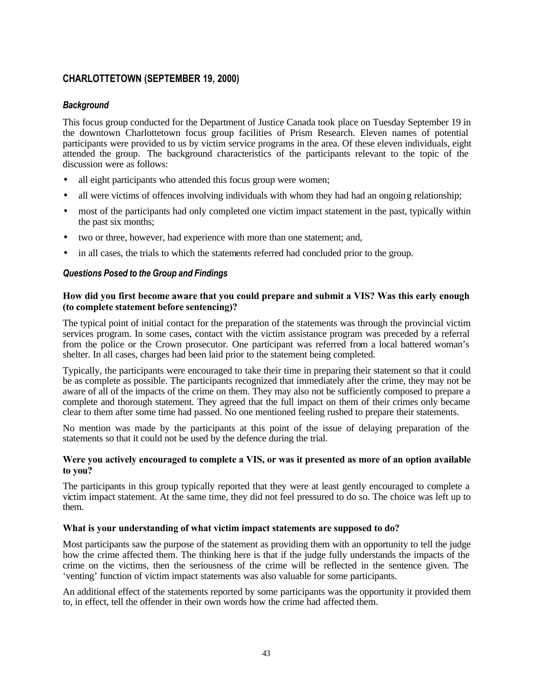### **CHARLOTTETOWN (SEPTEMBER 19, 2000)**

#### *Background*

This focus group conducted for the Department of Justice Canada took place on Tuesday September 19 in the downtown Charlottetown focus group facilities of Prism Research. Eleven names of potential participants were provided to us by victim service programs in the area. Of these eleven individuals, eight attended the group. The background characteristics of the participants relevant to the topic of the discussion were as follows:

- all eight participants who attended this focus group were women;
- all were victims of offences involving individuals with whom they had had an ongoing relationship;
- most of the participants had only completed one victim impact statement in the past, typically within the past six months;
- two or three, however, had experience with more than one statement; and,
- in all cases, the trials to which the statements referred had concluded prior to the group.

#### *Questions Posed to the Group and Findings*

#### **How did you first become aware that you could prepare and submit a VIS? Was this early enough (to complete statement before sentencing)?**

The typical point of initial contact for the preparation of the statements was through the provincial victim services program. In some cases, contact with the victim assistance program was preceded by a referral from the police or the Crown prosecutor. One participant was referred from a local battered woman's shelter. In all cases, charges had been laid prior to the statement being completed.

Typically, the participants were encouraged to take their time in preparing their statement so that it could be as complete as possible. The participants recognized that immediately after the crime, they may not be aware of all of the impacts of the crime on them. They may also not be sufficiently composed to prepare a complete and thorough statement. They agreed that the full impact on them of their crimes only became clear to them after some time had passed. No one mentioned feeling rushed to prepare their statements.

No mention was made by the participants at this point of the issue of delaying preparation of the statements so that it could not be used by the defence during the trial.

#### **Were you actively encouraged to complete a VIS, or was it presented as more of an option available to you?**

The participants in this group typically reported that they were at least gently encouraged to complete a victim impact statement. At the same time, they did not feel pressured to do so. The choice was left up to them.

#### **What is your understanding of what victim impact statements are supposed to do?**

Most participants saw the purpose of the statement as providing them with an opportunity to tell the judge how the crime affected them. The thinking here is that if the judge fully understands the impacts of the crime on the victims, then the seriousness of the crime will be reflected in the sentence given. The 'venting' function of victim impact statements was also valuable for some participants.

An additional effect of the statements reported by some participants was the opportunity it provided them to, in effect, tell the offender in their own words how the crime had affected them.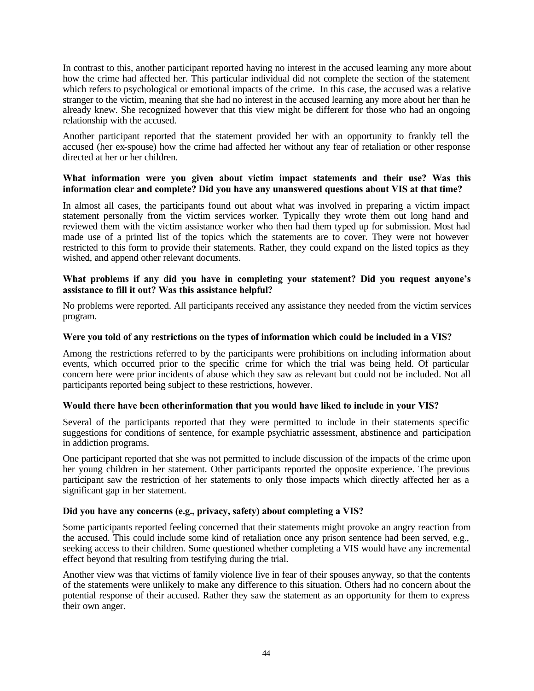In contrast to this, another participant reported having no interest in the accused learning any more about how the crime had affected her. This particular individual did not complete the section of the statement which refers to psychological or emotional impacts of the crime. In this case, the accused was a relative stranger to the victim, meaning that she had no interest in the accused learning any more about her than he already knew. She recognized however that this view might be different for those who had an ongoing relationship with the accused.

Another participant reported that the statement provided her with an opportunity to frankly tell the accused (her ex-spouse) how the crime had affected her without any fear of retaliation or other response directed at her or her children.

#### **What information were you given about victim impact statements and their use? Was this information clear and complete? Did you have any unanswered questions about VIS at that time?**

In almost all cases, the participants found out about what was involved in preparing a victim impact statement personally from the victim services worker. Typically they wrote them out long hand and reviewed them with the victim assistance worker who then had them typed up for submission. Most had made use of a printed list of the topics which the statements are to cover. They were not however restricted to this form to provide their statements. Rather, they could expand on the listed topics as they wished, and append other relevant documents.

#### **What problems if any did you have in completing your statement? Did you request anyone's assistance to fill it out? Was this assistance helpful?**

No problems were reported. All participants received any assistance they needed from the victim services program.

#### **Were you told of any restrictions on the types of information which could be included in a VIS?**

Among the restrictions referred to by the participants were prohibitions on including information about events, which occurred prior to the specific crime for which the trial was being held. Of particular concern here were prior incidents of abuse which they saw as relevant but could not be included. Not all participants reported being subject to these restrictions, however.

#### **Would there have been other information that you would have liked to include in your VIS?**

Several of the participants reported that they were permitted to include in their statements specific suggestions for conditions of sentence, for example psychiatric assessment, abstinence and participation in addiction programs.

One participant reported that she was not permitted to include discussion of the impacts of the crime upon her young children in her statement. Other participants reported the opposite experience. The previous participant saw the restriction of her statements to only those impacts which directly affected her as a significant gap in her statement.

#### **Did you have any concerns (e.g., privacy, safety) about completing a VIS?**

Some participants reported feeling concerned that their statements might provoke an angry reaction from the accused. This could include some kind of retaliation once any prison sentence had been served, e.g., seeking access to their children. Some questioned whether completing a VIS would have any incremental effect beyond that resulting from testifying during the trial.

Another view was that victims of family violence live in fear of their spouses anyway, so that the contents of the statements were unlikely to make any difference to this situation. Others had no concern about the potential response of their accused. Rather they saw the statement as an opportunity for them to express their own anger.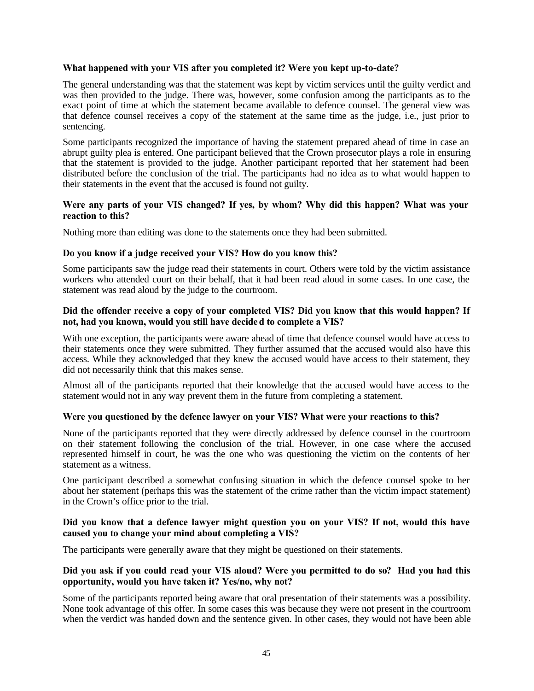#### **What happened with your VIS after you completed it? Were you kept up-to-date?**

The general understanding was that the statement was kept by victim services until the guilty verdict and was then provided to the judge. There was, however, some confusion among the participants as to the exact point of time at which the statement became available to defence counsel. The general view was that defence counsel receives a copy of the statement at the same time as the judge, i.e., just prior to sentencing.

Some participants recognized the importance of having the statement prepared ahead of time in case an abrupt guilty plea is entered. One participant believed that the Crown prosecutor plays a role in ensuring that the statement is provided to the judge. Another participant reported that her statement had been distributed before the conclusion of the trial. The participants had no idea as to what would happen to their statements in the event that the accused is found not guilty.

#### **Were any parts of your VIS changed? If yes, by whom? Why did this happen? What was your reaction to this?**

Nothing more than editing was done to the statements once they had been submitted.

#### **Do you know if a judge received your VIS? How do you know this?**

Some participants saw the judge read their statements in court. Others were told by the victim assistance workers who attended court on their behalf, that it had been read aloud in some cases. In one case, the statement was read aloud by the judge to the courtroom.

#### **Did the offender receive a copy of your completed VIS? Did you know that this would happen? If not, had you known, would you still have decided to complete a VIS?**

With one exception, the participants were aware ahead of time that defence counsel would have access to their statements once they were submitted. They further assumed that the accused would also have this access. While they acknowledged that they knew the accused would have access to their statement, they did not necessarily think that this makes sense.

Almost all of the participants reported that their knowledge that the accused would have access to the statement would not in any way prevent them in the future from completing a statement.

#### **Were you questioned by the defence lawyer on your VIS? What were your reactions to this?**

None of the participants reported that they were directly addressed by defence counsel in the courtroom on their statement following the conclusion of the trial. However, in one case where the accused represented himself in court, he was the one who was questioning the victim on the contents of her statement as a witness.

One participant described a somewhat confusing situation in which the defence counsel spoke to her about her statement (perhaps this was the statement of the crime rather than the victim impact statement) in the Crown's office prior to the trial.

#### **Did you know that a defence lawyer might question you on your VIS? If not, would this have caused you to change your mind about completing a VIS?**

The participants were generally aware that they might be questioned on their statements.

#### **Did you ask if you could read your VIS aloud? Were you permitted to do so? Had you had this opportunity, would you have taken it? Yes/no, why not?**

Some of the participants reported being aware that oral presentation of their statements was a possibility. None took advantage of this offer. In some cases this was because they were not present in the courtroom when the verdict was handed down and the sentence given. In other cases, they would not have been able